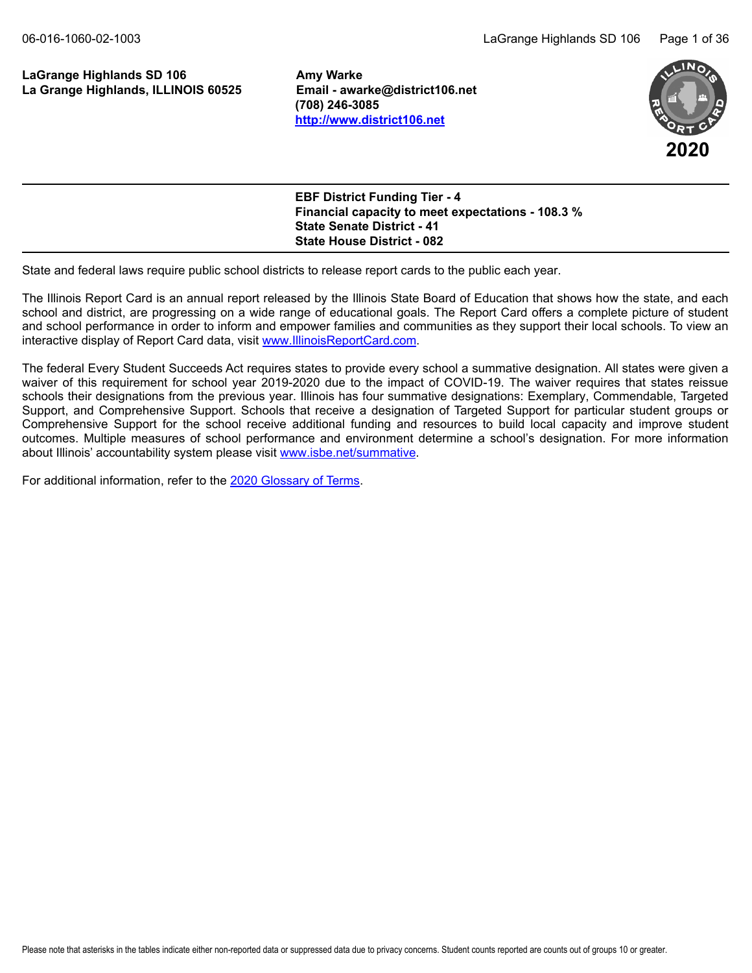### LaGrange Highlands SD 106 **Amy Warke La Grange Highlands, ILLINOIS 60525 Email - awarke@district106.net**

**(708) 246-3085 <http://www.district106.net>**



| <b>EBF District Funding Tier - 4</b>                     |
|----------------------------------------------------------|
| <b>Financial capacity to meet expectations - 108.3 %</b> |
| <b>State Senate District - 41</b>                        |
| <b>State House District - 082</b>                        |

State and federal laws require public school districts to release report cards to the public each year.

The Illinois Report Card is an annual report released by the Illinois State Board of Education that shows how the state, and each school and district, are progressing on a wide range of educational goals. The Report Card offers a complete picture of student and school performance in order to inform and empower families and communities as they support their local schools. To view an interactive display of Report Card data, visit [www.IllinoisReportCard.com](https://www.illinoisreportcard.com/).

The federal Every Student Succeeds Act requires states to provide every school a summative designation. All states were given a waiver of this requirement for school year 2019-2020 due to the impact of COVID-19. The waiver requires that states reissue schools their designations from the previous year. Illinois has four summative designations: Exemplary, Commendable, Targeted Support, and Comprehensive Support. Schools that receive a designation of Targeted Support for particular student groups or Comprehensive Support for the school receive additional funding and resources to build local capacity and improve student outcomes. Multiple measures of school performance and environment determine a school's designation. For more information about Illinois' accountability system please visi[t www.isbe.net/summative](https://www.isbe.net/summative).

For additional information, refer to th[e 2020 Glossary of Terms](https://www.isbe.net/Documents/2020-Glossary-of-Terms.pdf).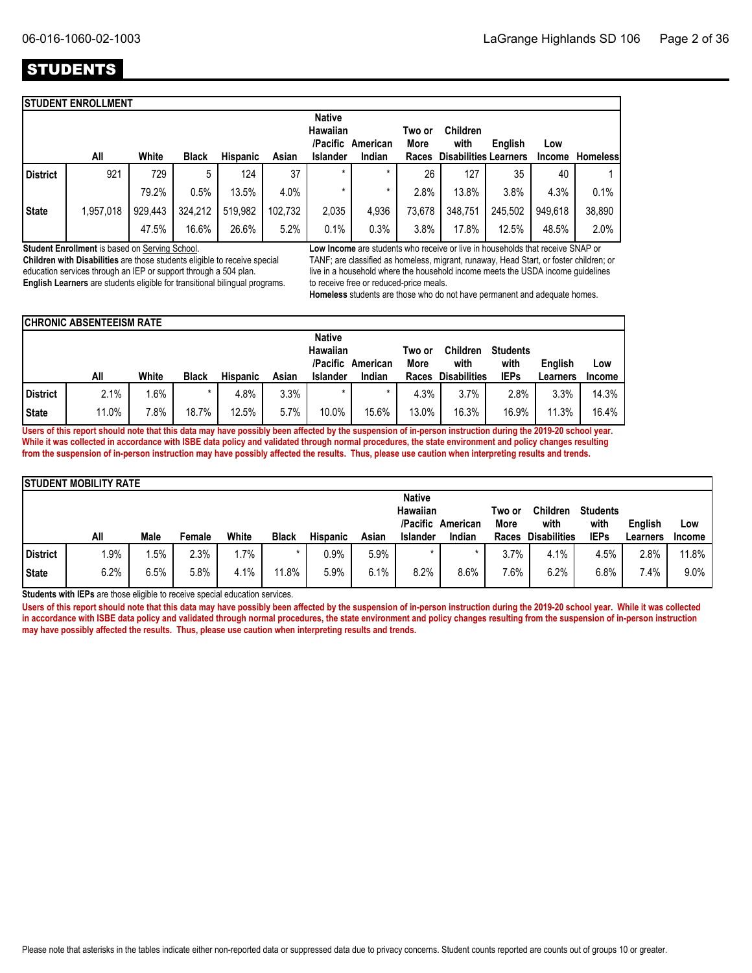### STUDENTS

|           |          |                           |         |         | <b>Native</b><br>Hawaiian<br>/Pacific |         | Two or<br>More | <b>Children</b><br>with | English | Low                          |                 |
|-----------|----------|---------------------------|---------|---------|---------------------------------------|---------|----------------|-------------------------|---------|------------------------------|-----------------|
| All       | White    | <b>Black</b>              |         | Asian   | <b>Islander</b>                       | Indian  | Races          |                         |         | Income                       | <b>Homeless</b> |
| 921       | 729      | 5                         | 124     | 37      | $\star$                               | $\star$ | 26             | 127                     | 35      | 40                           |                 |
|           | 79.2%    | 0.5%                      | 13.5%   | 4.0%    |                                       | *       | 2.8%           | 13.8%                   | 3.8%    | 4.3%                         | 0.1%            |
| 1,957,018 | 929,443  | 324,212                   | 519,982 | 102.732 | 2,035                                 | 4,936   | 73,678         | 348,751                 | 245,502 | 949.618                      | 38,890          |
|           | 47.5%    | 16.6%                     | 26.6%   | 5.2%    | 0.1%                                  | 0.3%    | 3.8%           | 17.8%                   | 12.5%   | 48.5%                        | 2.0%            |
|           | District | <b>STUDENT ENROLLMENT</b> |         |         | Hispanic                              |         | American       |                         |         | <b>Disabilities Learners</b> |                 |

**Student Enrollment** is based on Serving School.

**Children with Disabilities** are those students eligible to receive special education services through an IEP or support through a 504 plan. **English Learners** are students eligible for transitional bilingual programs. **Low Income** are students who receive or live in households that receive SNAP or TANF; are classified as homeless, migrant, runaway, Head Start, or foster children; or live in a household where the household income meets the USDA income guidelines to receive free or reduced-price meals.

**Homeless** students are those who do not have permanent and adequate homes.

|          | <b>ICHRONIC ABSENTEEISM RATE</b>                  |       |              |                 |       |                 |                       |                  |                         |             |          |               |
|----------|---------------------------------------------------|-------|--------------|-----------------|-------|-----------------|-----------------------|------------------|-------------------------|-------------|----------|---------------|
|          | <b>Native</b><br>Hawaiian<br>/Pacific<br>American |       |              |                 |       |                 | Two or<br><b>More</b> | Children<br>with | <b>Students</b><br>with | English     | Low      |               |
|          | All                                               | White | <b>Black</b> | <b>Hispanic</b> | Asian | <b>Islander</b> | Indian                | <b>Races</b>     | <b>Disabilities</b>     | <b>IEPs</b> | Learners | <b>Income</b> |
| District | 2.1%                                              | .6%   |              | 4.8%            | 3.3%  |                 |                       | 4.3%             | 3.7%                    | 2.8%        | 3.3%     | 14.3%         |
| State    | 11.0%                                             | 7.8%  | 18.7%        | 12.5%           | 5.7%  | 10.0%           | 15.6%                 | 13.0%            | 16.3%                   | 16.9%       | 11.3%    | 16.4%         |

**Users of this report should note that this data may have possibly been affected by the suspension of in-person instruction during the 2019-20 school year. While it was collected in accordance with ISBE data policy and validated through normal procedures, the state environment and policy changes resulting from the suspension of in-person instruction may have possibly affected the results. Thus, please use caution when interpreting results and trends.**

|              | <b>STUDENT MOBILITY RATE</b> |      |        |       |              |                 |       |                                  |                   |                |                         |                         |          |        |
|--------------|------------------------------|------|--------|-------|--------------|-----------------|-------|----------------------------------|-------------------|----------------|-------------------------|-------------------------|----------|--------|
|              |                              |      |        |       |              |                 |       | <b>Native</b><br><b>Hawaiian</b> | /Pacific American | Two or<br>More | <b>Children</b><br>with | <b>Students</b><br>with | English  | Low    |
|              | All                          | Male | Female | White | <b>Black</b> | <b>Hispanic</b> | Asian | <b>Islander</b>                  | Indian            | Races          | <b>Disabilities</b>     | <b>IEPs</b>             | Learners | Income |
| District     | $1.9\%$                      | .5%  | 2.3%   | 1.7%  |              | $0.9\%$         | 5.9%  | $\star$                          |                   | 3.7%           | 4.1%                    | 4.5%                    | 2.8%     | 11.8%  |
| <b>State</b> | 6.2%                         | 6.5% | 5.8%   | 4.1%  | 11.8%        | 5.9%            | 6.1%  | 8.2%                             | 8.6%              | $7.6\%$        | 6.2%                    | 6.8%                    | 7.4%     | 9.0%   |

**Students with IEPs** are those eligible to receive special education services.

**Users of this report should note that this data may have possibly been affected by the suspension of in-person instruction during the 2019-20 school year. While it was collected in accordance with ISBE data policy and validated through normal procedures, the state environment and policy changes resulting from the suspension of in-person instruction may have possibly affected the results. Thus, please use caution when interpreting results and trends.**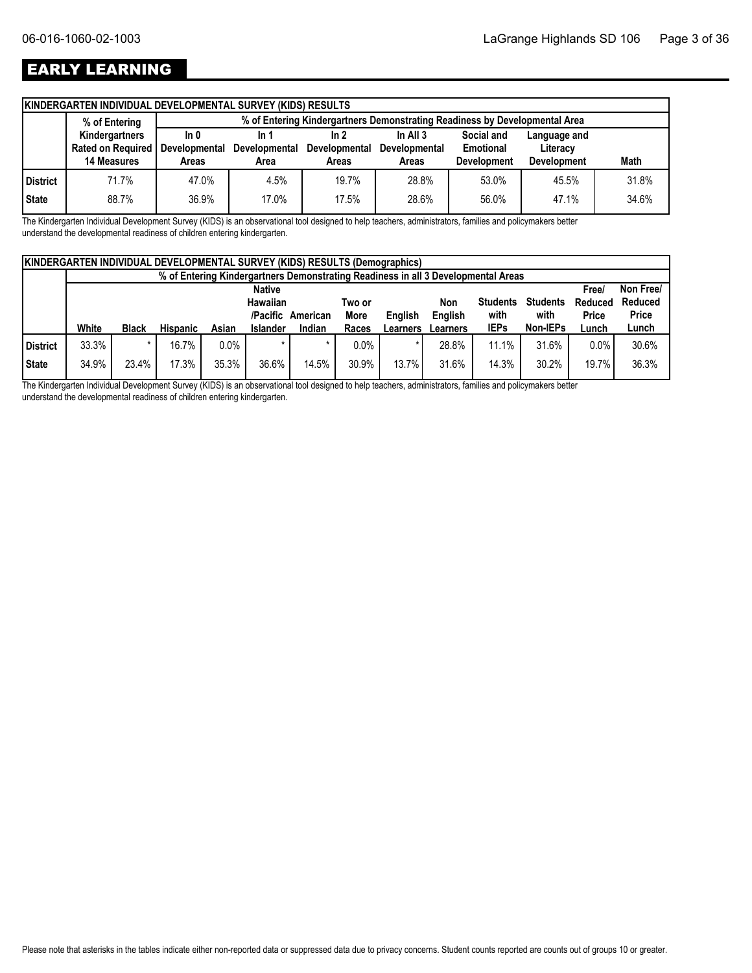### EARLY LEARNING

| % of Entering  |             | % of Entering Kindergartners Demonstrating Readiness by Developmental Area |                                                                   |                                                                                              |                               |                                 |                                |  |  |  |  |  |
|----------------|-------------|----------------------------------------------------------------------------|-------------------------------------------------------------------|----------------------------------------------------------------------------------------------|-------------------------------|---------------------------------|--------------------------------|--|--|--|--|--|
| Kindergartners | ln 0        | In 1                                                                       | In 2                                                              | In All $3$                                                                                   | Social and                    | Language and                    |                                |  |  |  |  |  |
|                |             |                                                                            |                                                                   |                                                                                              |                               |                                 |                                |  |  |  |  |  |
|                |             |                                                                            |                                                                   |                                                                                              |                               |                                 | Math                           |  |  |  |  |  |
| 71.7%          | 47.0%       | 4.5%                                                                       | 19.7%                                                             | 28.8%                                                                                        | 53.0%                         | 45.5%                           | 31.8%                          |  |  |  |  |  |
| 88.7%          | 36.9%       | 17.0%                                                                      | 17.5%                                                             | 28.6%                                                                                        | 56.0%                         | 47.1%                           | 34.6%                          |  |  |  |  |  |
|                | 14 Measures | Areas                                                                      | Rated on Required   Developmental<br><b>Developmental</b><br>Area | <b>KINDERGARTEN INDIVIDUAL DEVELOPMENTAL SURVEY (KIDS) RESULTS</b><br>Developmental<br>Areas | <b>Developmental</b><br>Areas | Emotional<br><b>Development</b> | Literacy<br><b>Development</b> |  |  |  |  |  |

The Kindergarten Individual Development Survey (KIDS) is an observational tool designed to help teachers, administrators, families and policymakers better understand the developmental readiness of children entering kindergarten.

|          | <b>KINDERGARTEN INDIVIDUAL DEVELOPMENTAL SURVEY (KIDS) RESULTS (Demographics)</b> |               |                 |         |                 |          |             |          |          |                 |                 |              |              |
|----------|-----------------------------------------------------------------------------------|---------------|-----------------|---------|-----------------|----------|-------------|----------|----------|-----------------|-----------------|--------------|--------------|
|          | % of Entering Kindergartners Demonstrating Readiness in all 3 Developmental Areas |               |                 |         |                 |          |             |          |          |                 |                 |              |              |
|          |                                                                                   | <b>Native</b> |                 |         |                 |          |             |          |          |                 |                 |              | Non Free/    |
|          |                                                                                   |               |                 |         | <b>Hawaiian</b> |          | Two or      |          | Non      | <b>Students</b> | <b>Students</b> | Reduced      | Reduced      |
|          |                                                                                   |               |                 |         | /Pacific        | American | <b>More</b> | English  | English  | with            | with            | <b>Price</b> | <b>Price</b> |
|          | White                                                                             | <b>Black</b>  | <b>Hispanic</b> | Asian   | <b>Islander</b> | Indian   | Races       | Learners | Learners | <b>IEPs</b>     | Non-IEPs        | Lunch        | Lunch        |
| District | 33.3%                                                                             | $\star$       | 16.7%           | $0.0\%$ |                 |          | $0.0\%$     |          | 28.8%    | 11.1%           | 31.6%           | 0.0%         | 30.6%        |
| State    | 34.9%                                                                             | 23.4%         | 17.3%           | 35.3%   | 36.6%           | 14.5%    | 30.9%       | 13.7%    | 31.6%    | 14.3%           | 30.2%           | 19.7%        | 36.3%        |

The Kindergarten Individual Development Survey (KIDS) is an observational tool designed to help teachers, administrators, families and policymakers better understand the developmental readiness of children entering kindergarten.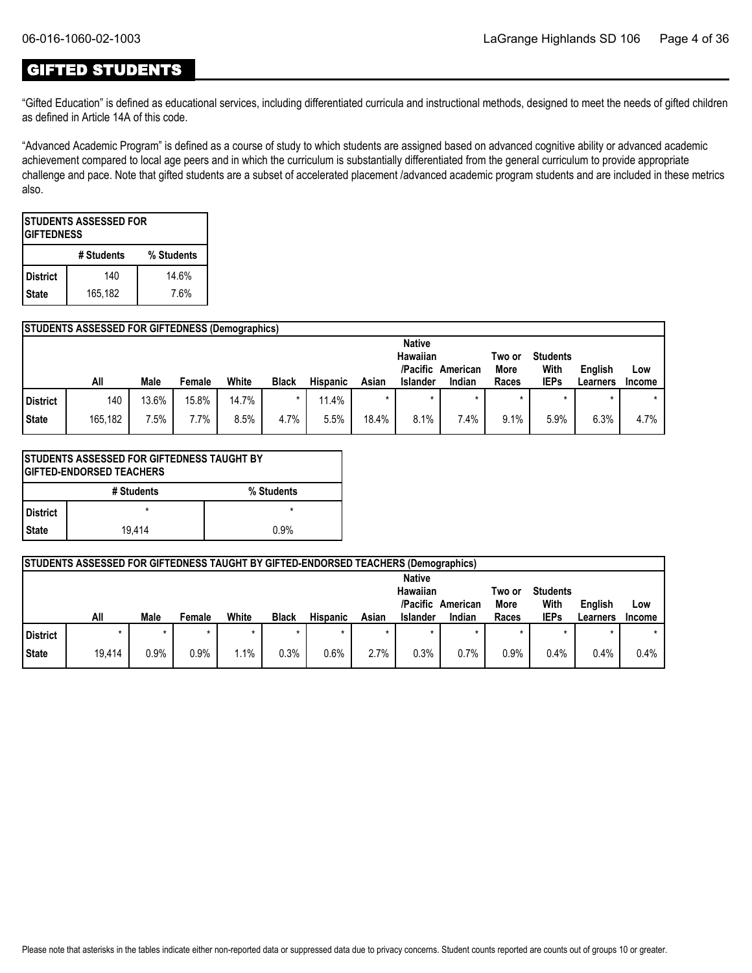### GIFTED STUDENTS

"Gifted Education" is defined as educational services, including differentiated curricula and instructional methods, designed to meet the needs of gifted children as defined in Article 14A of this code.

"Advanced Academic Program" is defined as a course of study to which students are assigned based on advanced cognitive ability or advanced academic achievement compared to local age peers and in which the curriculum is substantially differentiated from the general curriculum to provide appropriate challenge and pace. Note that gifted students are a subset of accelerated placement /advanced academic program students and are included in these metrics also.

| <b>STUDENTS ASSESSED FOR</b><br><b>IGIFTEDNESS</b> |            |            |  |  |  |  |  |  |  |  |
|----------------------------------------------------|------------|------------|--|--|--|--|--|--|--|--|
|                                                    | # Students | % Students |  |  |  |  |  |  |  |  |
| <b>District</b>                                    | 140        | 14.6%      |  |  |  |  |  |  |  |  |
| 165,182<br>7.6%<br><b>State</b>                    |            |            |  |  |  |  |  |  |  |  |

|                 | <b>STUDENTS ASSESSED FOR GIFTEDNESS (Demographics)</b> |       |        |       |              |                 |       |                                                   |                    |                         |                                        |                     |                      |
|-----------------|--------------------------------------------------------|-------|--------|-------|--------------|-----------------|-------|---------------------------------------------------|--------------------|-------------------------|----------------------------------------|---------------------|----------------------|
|                 | All                                                    | Male  | Female | White | <b>Black</b> | <b>Hispanic</b> | Asian | <b>Native</b><br>Hawaiian<br>/Pacific<br>Islander | American<br>Indian | Two or<br>More<br>Races | <b>Students</b><br>With<br><b>IEPs</b> | English<br>Learners | Low<br><b>Income</b> |
| <b>District</b> | 140                                                    | 13.6% | 15.8%  | 14.7% | $\star$      | 11.4%           |       | $\star$                                           |                    |                         |                                        |                     |                      |
| <b>State</b>    | 165,182                                                | 7.5%  | 7.7%   | 8.5%  | 4.7%         | 5.5%            | 18.4% | 8.1%                                              | $.4\%$             | 9.1%                    | 5.9%                                   | 6.3%                | 4.7%                 |

| <b>STUDENTS ASSESSED FOR GIFTEDNESS TAUGHT BY</b><br><b>IGIFTED-ENDORSED TEACHERS</b> |            |            |  |  |  |  |  |  |  |  |
|---------------------------------------------------------------------------------------|------------|------------|--|--|--|--|--|--|--|--|
|                                                                                       | # Students | % Students |  |  |  |  |  |  |  |  |
| l District                                                                            |            | $\star$    |  |  |  |  |  |  |  |  |
| l State                                                                               | 19.414     | 0.9%       |  |  |  |  |  |  |  |  |

|              | STUDENTS ASSESSED FOR GIFTEDNESS TAUGHT BY GIFTED-ENDORSED TEACHERS (Demographics) |             |        |       |              |                 |         |                                                          |                    |                                |                                        |                     |                      |
|--------------|------------------------------------------------------------------------------------|-------------|--------|-------|--------------|-----------------|---------|----------------------------------------------------------|--------------------|--------------------------------|----------------------------------------|---------------------|----------------------|
|              | All                                                                                | <b>Male</b> | Female | White | <b>Black</b> | <b>Hispanic</b> | Asian   | <b>Native</b><br>Hawaiian<br>/Pacific<br><b>Islander</b> | American<br>Indian | Two or<br><b>More</b><br>Races | <b>Students</b><br>With<br><b>IEPs</b> | English<br>Learners | Low<br><b>Income</b> |
| District     |                                                                                    | $\star$     |        |       |              |                 | $\star$ |                                                          |                    |                                |                                        | $\star$             |                      |
| <b>State</b> | 19.414                                                                             | 0.9%        | 0.9%   | 1.1%  | 0.3%         | 0.6%            | 2.7%    | $0.3\%$                                                  | 0.7%               | 0.9%                           | 0.4%                                   | 0.4%                | 0.4%                 |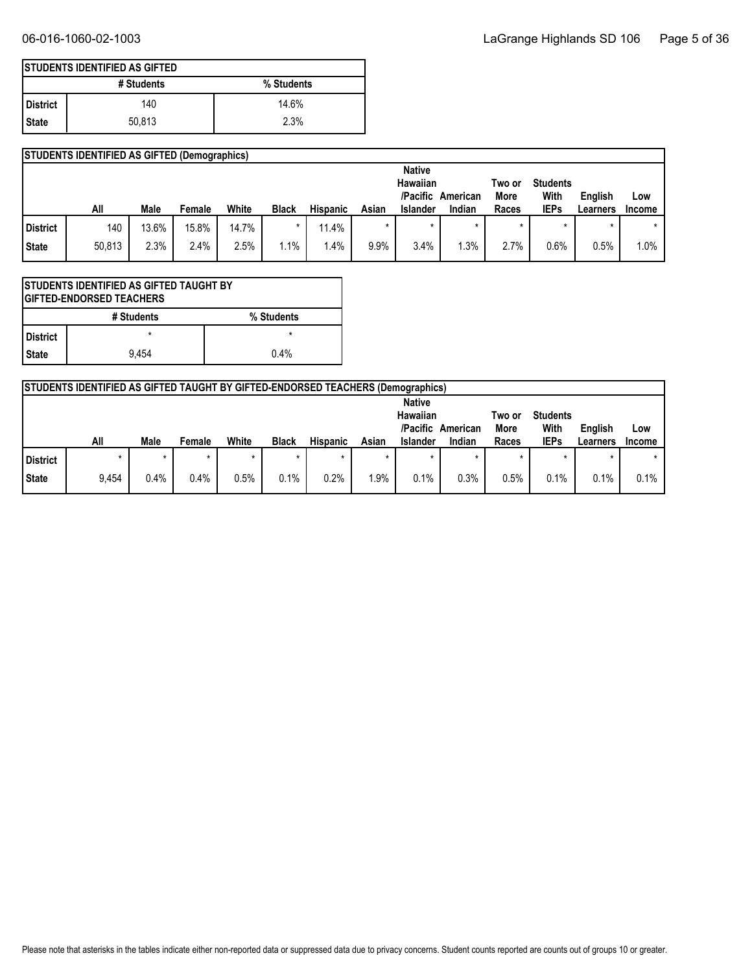|                 | <b>ISTUDENTS IDENTIFIED AS GIFTED</b> |            |  |  |  |  |  |  |  |  |  |
|-----------------|---------------------------------------|------------|--|--|--|--|--|--|--|--|--|
|                 | # Students                            | % Students |  |  |  |  |  |  |  |  |  |
| <b>District</b> | 140                                   | 14.6%      |  |  |  |  |  |  |  |  |  |
| State           | 50.813                                | 2.3%       |  |  |  |  |  |  |  |  |  |

|          | <b>STUDENTS IDENTIFIED AS GIFTED (Demographics)</b> |       |        |       |              |                 |         |                                       |          |                |                         |          |               |
|----------|-----------------------------------------------------|-------|--------|-------|--------------|-----------------|---------|---------------------------------------|----------|----------------|-------------------------|----------|---------------|
|          |                                                     |       |        |       |              |                 |         | <b>Native</b><br>Hawaiian<br>/Pacific | American | Two or<br>More | <b>Students</b><br>With | English  | Low           |
|          | All                                                 | Male  | Female | White | <b>Black</b> | <b>Hispanic</b> | Asian   | <b>Islander</b>                       | Indian   | Races          | <b>IEPs</b>             | Learners | <b>Income</b> |
| District | 140                                                 | 13.6% | 15.8%  | 14.7% | *            | 11.4%           | $\star$ |                                       |          |                | $\star$                 |          | $\star$       |
| State    | 50,813                                              | 2.3%  | 2.4%   | 2.5%  | 1.1%         | 1.4%            | 9.9%    | 3.4%                                  | .3%      | 2.7%           | 0.6%                    | 0.5%     | $1.0\%$       |

| <b>STUDENTS IDENTIFIED AS GIFTED TAUGHT BY</b><br><b>IGIFTED-ENDORSED TEACHERS</b> |            |            |  |  |
|------------------------------------------------------------------------------------|------------|------------|--|--|
|                                                                                    | # Students | % Students |  |  |
| l District                                                                         |            | $\star$    |  |  |
| l State                                                                            | 9.454      | 0.4%       |  |  |

|                 | <b>STUDENTS IDENTIFIED AS GIFTED TAUGHT BY GIFTED-ENDORSED TEACHERS (Demographics)</b> |      |        |         |              |                 |       |                                                   |                    |                         |                                        |                     |                      |
|-----------------|----------------------------------------------------------------------------------------|------|--------|---------|--------------|-----------------|-------|---------------------------------------------------|--------------------|-------------------------|----------------------------------------|---------------------|----------------------|
|                 | All                                                                                    | Male | Female | White   | <b>Black</b> | <b>Hispanic</b> | Asian | <b>Native</b><br>Hawaiian<br>/Pacific<br>Islander | American<br>Indian | Two or<br>More<br>Races | <b>Students</b><br>With<br><b>IEPs</b> | English<br>Learners | Low<br><b>Income</b> |
| <b>District</b> |                                                                                        | ×    |        | $\star$ | $\star$      |                 |       |                                                   |                    | $\star$                 |                                        |                     |                      |
| <b>State</b>    | 9,454                                                                                  | 0.4% | 0.4%   | 0.5%    | 0.1%         | 0.2%            | .9%   | 0.1%                                              | 0.3%               | 0.5%                    | 0.1%                                   | 0.1%                | 0.1%                 |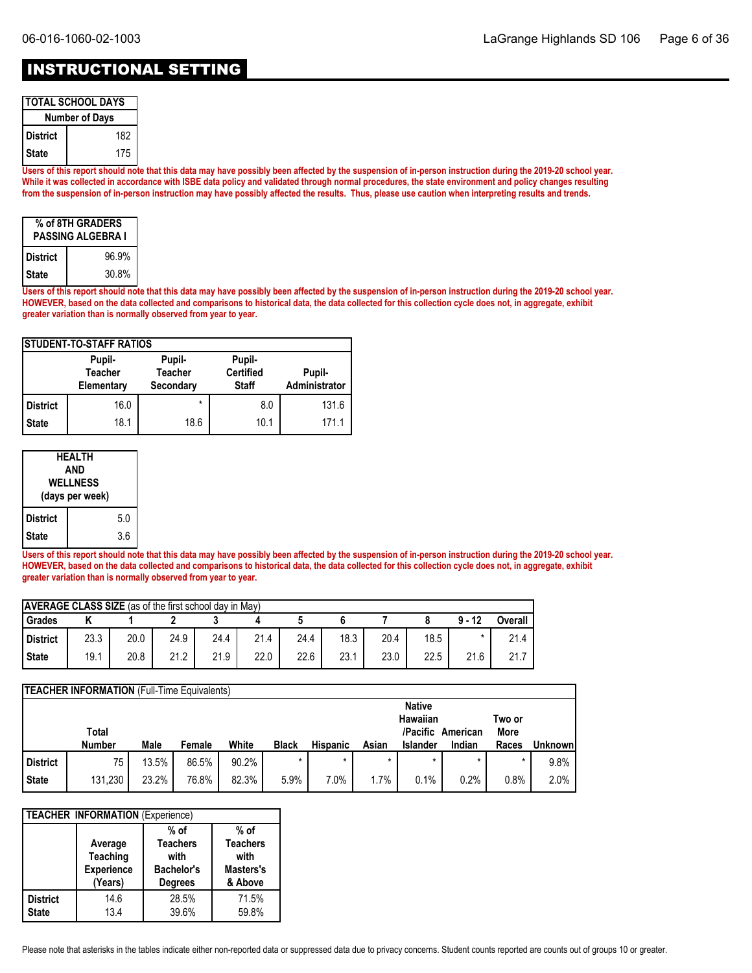### INSTRUCTIONAL SETTING

| <b>TOTAL SCHOOL DAYS</b> |     |  |  |  |
|--------------------------|-----|--|--|--|
| <b>Number of Days</b>    |     |  |  |  |
| District                 | 182 |  |  |  |
| <b>State</b>             | 175 |  |  |  |

**Users of this report should note that this data may have possibly been affected by the suspension of in-person instruction during the 2019-20 school year. While it was collected in accordance with ISBE data policy and validated through normal procedures, the state environment and policy changes resulting from the suspension of in-person instruction may have possibly affected the results. Thus, please use caution when interpreting results and trends.**

| % of 8TH GRADERS<br><b>PASSING ALGEBRA I</b> |       |  |  |  |
|----------------------------------------------|-------|--|--|--|
| <b>District</b>                              | 96.9% |  |  |  |
| <b>State</b>                                 | 30.8% |  |  |  |

**Users of this report should note that this data may have possibly been affected by the suspension of in-person instruction during the 2019-20 school year. HOWEVER, based on the data collected and comparisons to historical data, the data collected for this collection cycle does not, in aggregate, exhibit greater variation than is normally observed from year to year.**

| <b>ISTUDENT-TO-STAFF RATIOS</b> |                                        |                                       |                                            |                         |  |  |  |  |
|---------------------------------|----------------------------------------|---------------------------------------|--------------------------------------------|-------------------------|--|--|--|--|
|                                 | Pupil-<br><b>Teacher</b><br>Elementary | Pupil-<br><b>Teacher</b><br>Secondary | Pupil-<br><b>Certified</b><br><b>Staff</b> | Pupil-<br>Administrator |  |  |  |  |
| <b>District</b>                 | 16.0                                   | $\star$                               | 8.0                                        | 131.6                   |  |  |  |  |
| <b>State</b>                    | 18.1                                   | 18.6                                  | 10.1                                       | 171.1                   |  |  |  |  |

| <b>HEALTH</b><br>AND<br><b>WELLNESS</b><br>(days per week) |  |     |  |
|------------------------------------------------------------|--|-----|--|
| <b>District</b>                                            |  | 5.0 |  |
| <b>State</b>                                               |  | 3.6 |  |

**Users of this report should note that this data may have possibly been affected by the suspension of in-person instruction during the 2019-20 school year. HOWEVER, based on the data collected and comparisons to historical data, the data collected for this collection cycle does not, in aggregate, exhibit greater variation than is normally observed from year to year.**

| <b>AVERAGE CLASS SIZE</b> (as of the first school day in May) |      |      |      |      |      |      |      |      |      |          |         |
|---------------------------------------------------------------|------|------|------|------|------|------|------|------|------|----------|---------|
| Grades                                                        |      |      |      |      |      |      |      |      |      | $9 - 12$ | Overall |
| District                                                      | 23.3 | 20.0 | 24.9 | 24.4 | 21.4 | 24.4 | 18.3 | 20.4 | 18.5 |          | 21.4    |
| <b>State</b>                                                  | 19.1 | 20.8 | 21.2 | 21.9 | 22.0 | 22.6 | 23.1 | 23.0 | 22.5 | 21.6     | 21.7    |

|                 | <b>TEACHER INFORMATION</b> (Full-Time Equivalents) |       |        |       |              |                 |       |                                       |          |                |                |
|-----------------|----------------------------------------------------|-------|--------|-------|--------------|-----------------|-------|---------------------------------------|----------|----------------|----------------|
|                 | Total                                              |       |        |       |              |                 |       | <b>Native</b><br>Hawaiian<br>/Pacific | American | Two or<br>More |                |
|                 | <b>Number</b>                                      | Male  | Female | White | <b>Black</b> | <b>Hispanic</b> | Asian | <b>Islander</b>                       | Indian   | Races          | <b>Unknown</b> |
| <b>District</b> | 75                                                 | 13.5% | 86.5%  | 90.2% |              |                 |       |                                       |          | *              | 9.8%           |
| <b>State</b>    | 131,230                                            | 23.2% | 76.8%  | 82.3% | 5.9%         | 7.0%            | 1.7%  | 0.1%                                  | 0.2%     | 0.8%           | 2.0%           |

| <b>TEACHER INFORMATION (Experience)</b> |                                                            |                                                                          |                                                         |  |  |  |  |
|-----------------------------------------|------------------------------------------------------------|--------------------------------------------------------------------------|---------------------------------------------------------|--|--|--|--|
|                                         | Average<br><b>Teaching</b><br><b>Experience</b><br>(Years) | $%$ of<br><b>Teachers</b><br>with<br><b>Bachelor's</b><br><b>Degrees</b> | % of<br><b>Teachers</b><br>with<br>Masters's<br>& Above |  |  |  |  |
| <b>District</b><br><b>State</b>         | 14.6<br>13.4                                               | 28.5%<br>39.6%                                                           | 71.5%<br>59.8%                                          |  |  |  |  |

Please note that asterisks in the tables indicate either non-reported data or suppressed data due to privacy concerns. Student counts reported are counts out of groups 10 or greater.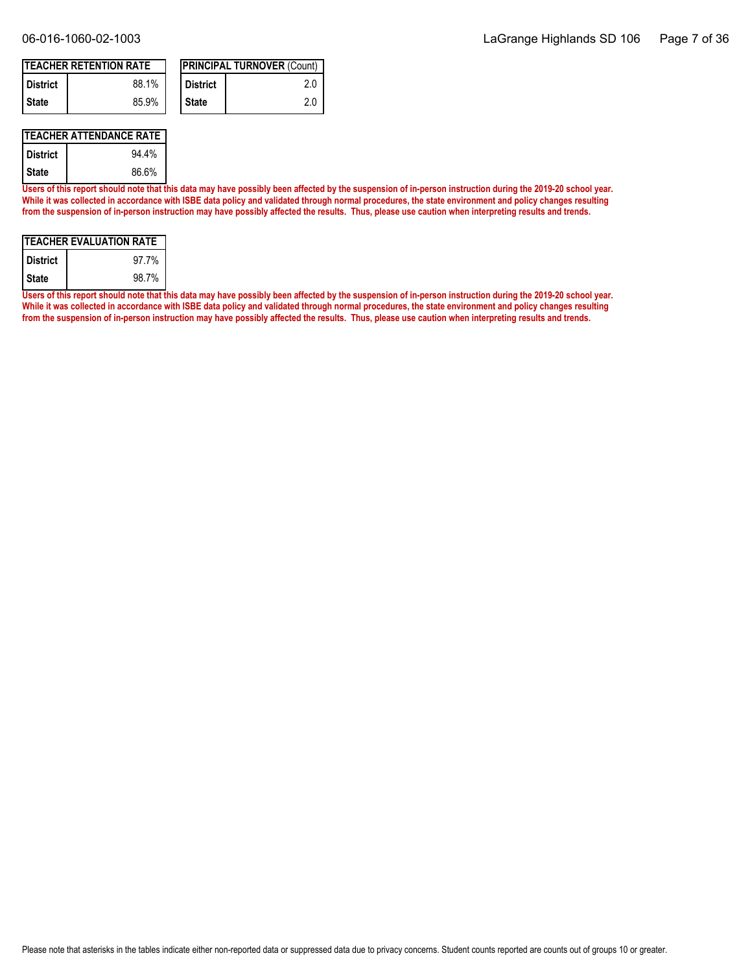| <b>ITEACHER RETENTION RATE</b> |       |  |            | <b>IPRINCIPAL TURNOVER (Count)</b> |
|--------------------------------|-------|--|------------|------------------------------------|
| <b>District</b>                | 88.1% |  | l District | 2.0                                |
| I State                        | 85.9% |  | ' State    | 2.0                                |

### **TEACHER ATTENDANCE RATE**

| <b>District</b> | 94.4% |
|-----------------|-------|
| State           | 86.6% |

**Users of this report should note that this data may have possibly been affected by the suspension of in-person instruction during the 2019-20 school year. While it was collected in accordance with ISBE data policy and validated through normal procedures, the state environment and policy changes resulting from the suspension of in-person instruction may have possibly affected the results. Thus, please use caution when interpreting results and trends.**

| <b>ITEACHER EVALUATION RATE</b> |       |  |  |  |
|---------------------------------|-------|--|--|--|
| l District                      | 97.7% |  |  |  |
| l State                         | 98.7% |  |  |  |

**Users of this report should note that this data may have possibly been affected by the suspension of in-person instruction during the 2019-20 school year. While it was collected in accordance with ISBE data policy and validated through normal procedures, the state environment and policy changes resulting from the suspension of in-person instruction may have possibly affected the results. Thus, please use caution when interpreting results and trends.**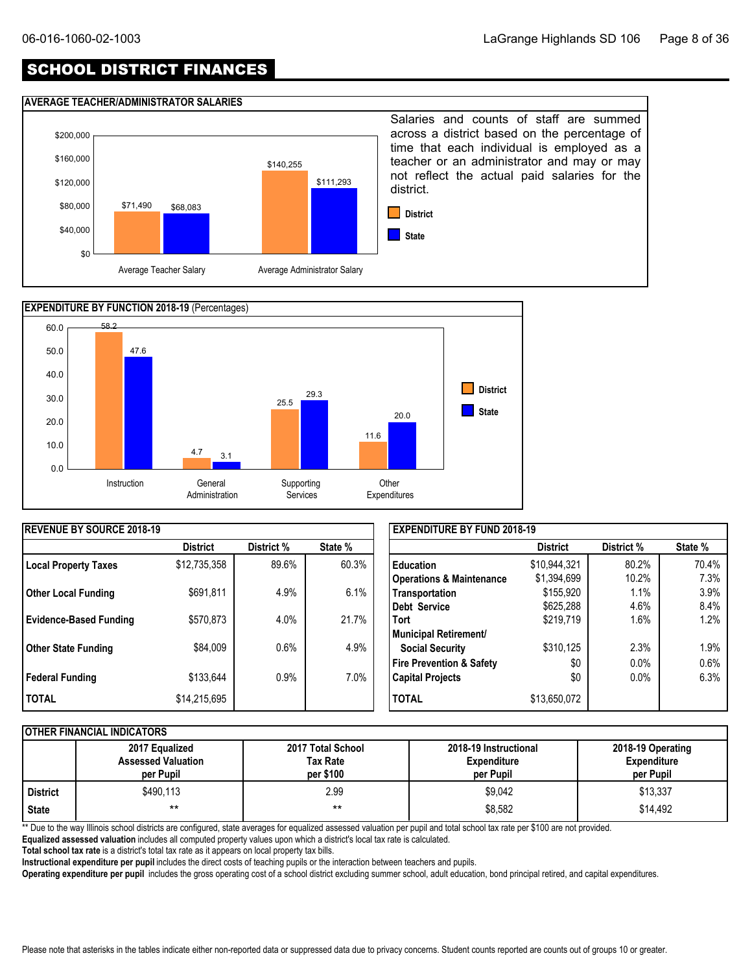### SCHOOL DISTRICT FINANCES

#### **AVERAGE TEACHER/ADMINISTRATOR SALARIES**





| <b>REVENUE BY SOURCE 2018-19</b> |                 |            |         | <b>EXPENDITURE BY FUND 2018-19</b>  |                 |            |         |
|----------------------------------|-----------------|------------|---------|-------------------------------------|-----------------|------------|---------|
|                                  | <b>District</b> | District % | State % |                                     | <b>District</b> | District % | State % |
| Local Property Taxes             | \$12,735,358    | 89.6%      | 60.3%   | <b>Education</b>                    | \$10,944,321    | 80.2%      | 70.4%   |
|                                  |                 |            |         | <b>Operations &amp; Maintenance</b> | \$1,394,699     | 10.2%      | 7.3%    |
| <b>Other Local Funding</b>       | \$691,811       | 4.9%       | 6.1%    | Transportation                      | \$155,920       | 1.1%       | 3.9%    |
|                                  |                 |            |         | Debt Service                        | \$625,288       | 4.6%       | 8.4%    |
| <b>Evidence-Based Funding</b>    | \$570,873       | 4.0%       | 21.7%   | <b>Tort</b>                         | \$219,719       | 1.6%       | 1.2%    |
|                                  |                 |            |         | Municipal Retirement/               |                 |            |         |
| <b>Other State Funding</b>       | \$84,009        | 0.6%       | 4.9%    | <b>Social Security</b>              | \$310,125       | 2.3%       | 1.9%    |
|                                  |                 |            |         | <b>Fire Prevention &amp; Safety</b> | \$0             | 0.0%       | 0.6%    |
| Federal Funding                  | \$133,644       | $0.9\%$    | 7.0%    | <b>Capital Projects</b>             | \$0             | 0.0%       | 6.3%    |
| <b>TOTAL</b>                     | \$14,215,695    |            |         | <b>TOTAL</b>                        | \$13,650,072    |            |         |

### **OTHER FINANCIAL INDICATORS**

|                 | 2017 Equalized<br><b>Assessed Valuation</b><br>per Pupil | 2017 Total School<br>Tax Rate<br>per \$100 | 2018-19 Instructional<br><b>Expenditure</b><br>per Pupil | 2018-19 Operating<br><b>Expenditure</b><br>per Pupil |
|-----------------|----------------------------------------------------------|--------------------------------------------|----------------------------------------------------------|------------------------------------------------------|
| <b>District</b> | \$490,113                                                | 2.99                                       | \$9,042                                                  | \$13,337                                             |
| <b>State</b>    | $***$                                                    | $***$                                      | \$8,582                                                  | \$14,492                                             |

\*\* Due to the way Illinois school districts are configured, state averages for equalized assessed valuation per pupil and total school tax rate per \$100 are not provided.

**Equalized assessed valuation** includes all computed property values upon which a district's local tax rate is calculated.

**Total school tax rate** is a district's total tax rate as it appears on local property tax bills.

**Instructional expenditure per pupil** includes the direct costs of teaching pupils or the interaction between teachers and pupils.

**Operating expenditure per pupil** includes the gross operating cost of a school district excluding summer school, adult education, bond principal retired, and capital expenditures.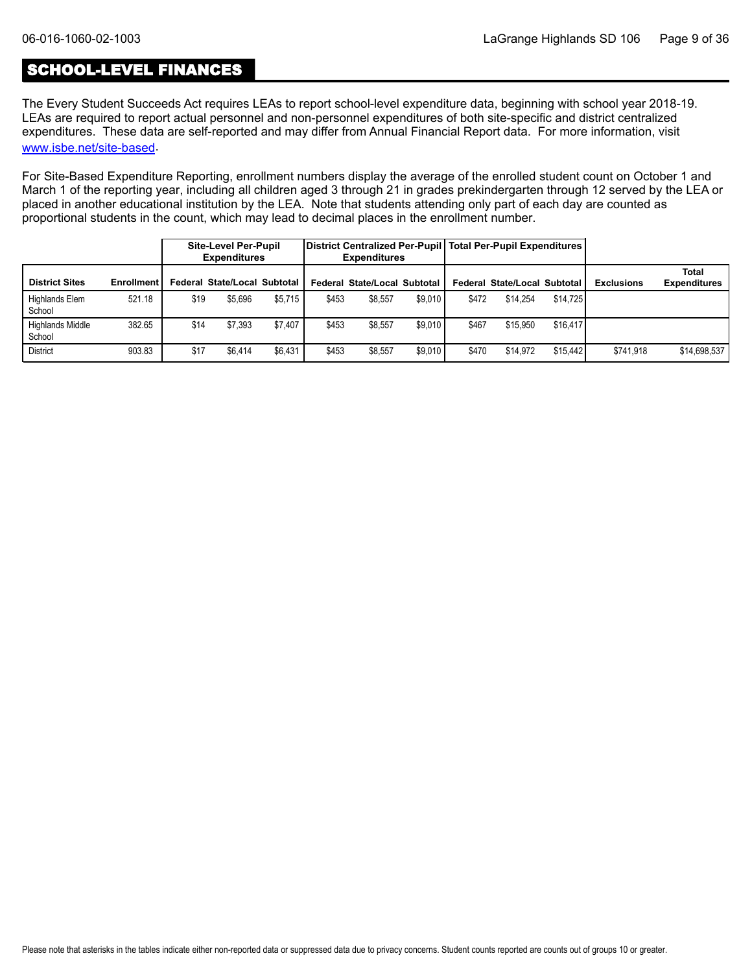### SCHOOL-LEVEL FINANCES

The Every Student Succeeds Act requires LEAs to report school-level expenditure data, beginning with school year 2018-19. LEAs are required to report actual personnel and non-personnel expenditures of both site-specific and district centralized expenditures. These data are self-reported and may differ from Annual Financial Report data. For more information, visit [www.isbe.net/site-based](https://www.isbe.net/site-based).

For Site-Based Expenditure Reporting, enrollment numbers display the average of the enrolled student count on October 1 and March 1 of the reporting year, including all children aged 3 through 21 in grades prekindergarten through 12 served by the LEA or placed in another educational institution by the LEA. Note that students attending only part of each day are counted as proportional students in the count, which may lead to decimal places in the enrollment number.

|                            |                   |      | <b>Site-Level Per-Pupil</b><br><b>Expenditures</b> |         |       | District Centralized Per-Pupil   Total Per-Pupil Expenditures  <br><b>Expenditures</b> |         |       |                              |          |                   |                              |
|----------------------------|-------------------|------|----------------------------------------------------|---------|-------|----------------------------------------------------------------------------------------|---------|-------|------------------------------|----------|-------------------|------------------------------|
| <b>District Sites</b>      | <b>Enrollment</b> |      | Federal State/Local Subtotal                       |         |       | Federal State/Local Subtotal                                                           |         |       | Federal State/Local Subtotal |          | <b>Exclusions</b> | Total<br><b>Expenditures</b> |
| Highlands Elem<br>School   | 521.18            | \$19 | \$5.696                                            | \$5.715 | \$453 | \$8.557                                                                                | \$9.010 | \$472 | \$14.254                     | \$14.725 |                   |                              |
| Highlands Middle<br>School | 382.65            | \$14 | \$7.393                                            | \$7.407 | \$453 | \$8,557                                                                                | \$9.010 | \$467 | \$15.950                     | \$16,417 |                   |                              |
| <b>District</b>            | 903.83            | \$17 | \$6.414                                            | \$6.431 | \$453 | \$8.557                                                                                | \$9.010 | \$470 | \$14.972                     | \$15.442 | \$741.918         | \$14,698,537                 |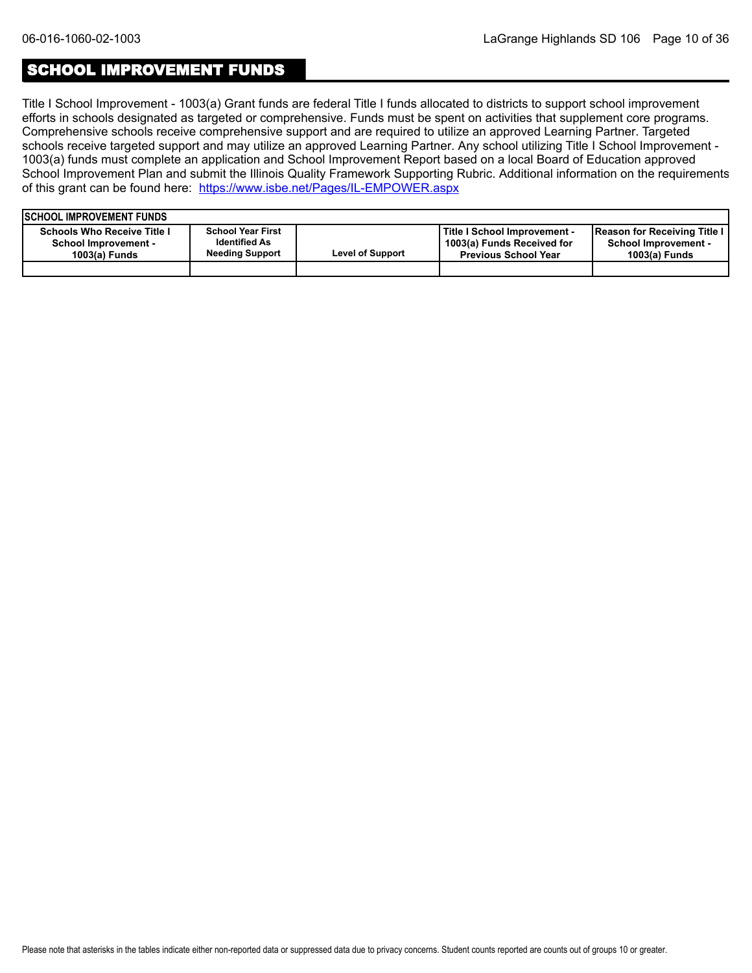### SCHOOL IMPROVEMENT FUNDS

Title I School Improvement - 1003(a) Grant funds are federal Title I funds allocated to districts to support school improvement efforts in schools designated as targeted or comprehensive. Funds must be spent on activities that supplement core programs. Comprehensive schools receive comprehensive support and are required to utilize an approved Learning Partner. Targeted schools receive targeted support and may utilize an approved Learning Partner. Any school utilizing Title I School Improvement - 1003(a) funds must complete an application and School Improvement Report based on a local Board of Education approved School Improvement Plan and submit the Illinois Quality Framework Supporting Rubric. Additional information on the requirements of this grant can be found here:<https://www.isbe.net/Pages/IL-EMPOWER.aspx>

| <b>ISCHOOL IMPROVEMENT FUNDS</b>                                                   |                                                                            |                         |                                                                                           |                                                                              |
|------------------------------------------------------------------------------------|----------------------------------------------------------------------------|-------------------------|-------------------------------------------------------------------------------------------|------------------------------------------------------------------------------|
| <b>Schools Who Receive Title I</b><br><b>School Improvement -</b><br>1003(a) Funds | <b>School Year First</b><br><b>Identified As</b><br><b>Needing Support</b> | <b>Level of Support</b> | Title I School Improvement -<br>1003(a) Funds Received for<br><b>Previous School Year</b> | Reason for Receiving Title I<br><b>School Improvement -</b><br>1003(a) Funds |
|                                                                                    |                                                                            |                         |                                                                                           |                                                                              |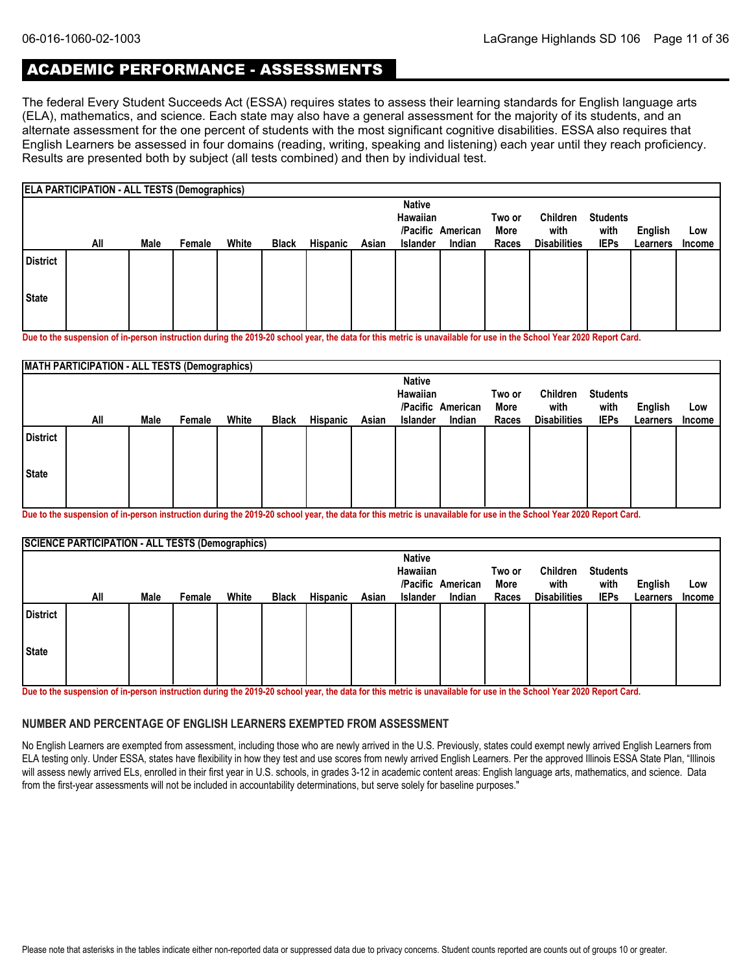### ACADEMIC PERFORMANCE - ASSESSMENTS

The federal Every Student Succeeds Act (ESSA) requires states to assess their learning standards for English language arts (ELA), mathematics, and science. Each state may also have a general assessment for the majority of its students, and an alternate assessment for the one percent of students with the most significant cognitive disabilities. ESSA also requires that English Learners be assessed in four domains (reading, writing, speaking and listening) each year until they reach proficiency. Results are presented both by subject (all tests combined) and then by individual test.

|                 | <b>ELA PARTICIPATION - ALL TESTS (Demographics)</b> |      |        |       |              |                 |       |                           |                   |        |                     |                 |          |        |
|-----------------|-----------------------------------------------------|------|--------|-------|--------------|-----------------|-------|---------------------------|-------------------|--------|---------------------|-----------------|----------|--------|
|                 |                                                     |      |        |       |              |                 |       | <b>Native</b><br>Hawaiian |                   | Two or | Children            | <b>Students</b> |          |        |
|                 |                                                     |      |        |       |              |                 |       |                           | /Pacific American | More   | with                | with            | English  | Low    |
|                 | All                                                 | Male | Female | White | <b>Black</b> | <b>Hispanic</b> | Asian | <b>Islander</b>           | Indian            | Races  | <b>Disabilities</b> | <b>IEPs</b>     | Learners | Income |
| <b>District</b> |                                                     |      |        |       |              |                 |       |                           |                   |        |                     |                 |          |        |
| <b>State</b>    |                                                     |      |        |       |              |                 |       |                           |                   |        |                     |                 |          |        |
|                 |                                                     |      |        |       |              |                 |       |                           |                   |        |                     |                 |          |        |

**Due to the suspension of in-person instruction during the 2019-20 school year, the data for this metric is unavailable for use in the School Year 2020 Report Card.**

|                 | <b>MATH PARTICIPATION - ALL TESTS (Demographics)</b> |      |        |       |              |          |       |                           |                             |               |                             |                     |                            |                      |
|-----------------|------------------------------------------------------|------|--------|-------|--------------|----------|-------|---------------------------|-----------------------------|---------------|-----------------------------|---------------------|----------------------------|----------------------|
|                 |                                                      |      |        |       |              |          |       | <b>Native</b><br>Hawaiian |                             | Two or        | Children                    | <b>Students</b>     |                            |                      |
|                 | All                                                  | Male | Female | White | <b>Black</b> | Hispanic | Asian | <b>Islander</b>           | /Pacific American<br>Indian | More<br>Races | with<br><b>Disabilities</b> | with<br><b>IEPs</b> | <b>English</b><br>Learners | Low<br><b>Income</b> |
| <b>District</b> |                                                      |      |        |       |              |          |       |                           |                             |               |                             |                     |                            |                      |
| State           |                                                      |      |        |       |              |          |       |                           |                             |               |                             |                     |                            |                      |
|                 |                                                      |      |        |       |              |          |       |                           |                             |               |                             |                     |                            |                      |

**Due to the suspension of in-person instruction during the 2019-20 school year, the data for this metric is unavailable for use in the School Year 2020 Report Card.**

|                 | <b>SCIENCE PARTICIPATION - ALL TESTS (Demographics)</b> |      |        |       |              |                 |       |                 |                   |        |                     |                 |          |               |
|-----------------|---------------------------------------------------------|------|--------|-------|--------------|-----------------|-------|-----------------|-------------------|--------|---------------------|-----------------|----------|---------------|
|                 |                                                         |      |        |       |              |                 |       | <b>Native</b>   |                   |        |                     |                 |          |               |
|                 |                                                         |      |        |       |              |                 |       | Hawaiian        |                   | Two or | Children            | <b>Students</b> |          |               |
|                 |                                                         |      |        |       |              |                 |       |                 | /Pacific American | More   | with                | with            | English  | Low           |
|                 | All                                                     | Male | Female | White | <b>Black</b> | <b>Hispanic</b> | Asian | <b>Islander</b> | Indian            | Races  | <b>Disabilities</b> | <b>IEPs</b>     | Learners | <b>Income</b> |
| <b>District</b> |                                                         |      |        |       |              |                 |       |                 |                   |        |                     |                 |          |               |
| <b>State</b>    |                                                         |      |        |       |              |                 |       |                 |                   |        |                     |                 |          |               |
|                 |                                                         |      |        |       |              |                 |       |                 |                   |        |                     |                 |          |               |

**Due to the suspension of in-person instruction during the 2019-20 school year, the data for this metric is unavailable for use in the School Year 2020 Report Card.**

#### **NUMBER AND PERCENTAGE OF ENGLISH LEARNERS EXEMPTED FROM ASSESSMENT**

No English Learners are exempted from assessment, including those who are newly arrived in the U.S. Previously, states could exempt newly arrived English Learners from ELA testing only. Under ESSA, states have flexibility in how they test and use scores from newly arrived English Learners. Per the approved Illinois ESSA State Plan, "Illinois will assess newly arrived ELs, enrolled in their first year in U.S. schools, in grades 3-12 in academic content areas: English language arts, mathematics, and science. Data from the first-year assessments will not be included in accountability determinations, but serve solely for baseline purposes."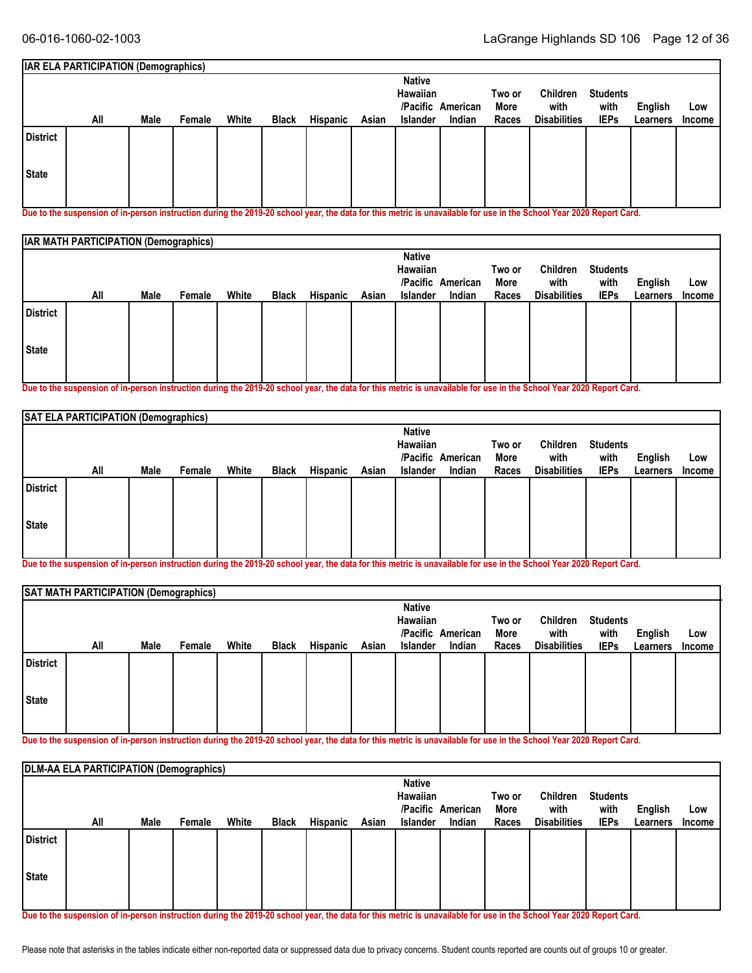|     |      |        |                                             |              |          |       | <b>Native</b> |        |                                           |                     |                 |          |               |
|-----|------|--------|---------------------------------------------|--------------|----------|-------|---------------|--------|-------------------------------------------|---------------------|-----------------|----------|---------------|
|     |      |        |                                             |              |          |       |               |        | Two or                                    | <b>Children</b>     | <b>Students</b> |          |               |
|     |      |        |                                             |              |          |       |               |        | More                                      | with                | with            | English  | Low           |
| All | Male | Female | White                                       | <b>Black</b> | Hispanic | Asian |               | Indian | Races                                     | <b>Disabilities</b> | <b>IEPs</b>     | Learners | <b>Income</b> |
|     |      |        |                                             |              |          |       |               |        |                                           |                     |                 |          |               |
|     |      |        |                                             |              |          |       |               |        |                                           |                     |                 |          |               |
|     |      |        | <b>IAR ELA PARTICIPATION (Demographics)</b> |              |          |       |               |        | Hawaiian<br>/Pacific American<br>Islander |                     |                 |          |               |

**Due to the suspension of in-person instruction during the 2019-20 school year, the data for this metric is unavailable for use in the School Year 2020 Report Card.**

|                 | <b>IAR MATH PARTICIPATION (Demographics)</b> |      |        |       |              |          |       |                           |                   |                |                     |                         |          |        |
|-----------------|----------------------------------------------|------|--------|-------|--------------|----------|-------|---------------------------|-------------------|----------------|---------------------|-------------------------|----------|--------|
|                 |                                              |      |        |       |              |          |       | <b>Native</b><br>Hawaiian | /Pacific American | Two or<br>More | Children<br>with    | <b>Students</b><br>with | English  | Low    |
|                 | All                                          | Male | Female | White | <b>Black</b> | Hispanic | Asian | <b>Islander</b>           | Indian            | Races          | <b>Disabilities</b> | <b>IEPs</b>             | Learners | Income |
| <b>District</b> |                                              |      |        |       |              |          |       |                           |                   |                |                     |                         |          |        |
| State           |                                              |      |        |       |              |          |       |                           |                   |                |                     |                         |          |        |
|                 |                                              |      |        |       |              |          |       |                           |                   |                |                     |                         |          |        |

**Due to the suspension of in-person instruction during the 2019-20 school year, the data for this metric is unavailable for use in the School Year 2020 Report Card.**

|                                                | SAT ELA PARTICIPATION (Demographics) |      |        |       |              |          |       |          |        |       |                     |                         |          |               |
|------------------------------------------------|--------------------------------------|------|--------|-------|--------------|----------|-------|----------|--------|-------|---------------------|-------------------------|----------|---------------|
| <b>Native</b><br>Hawaiian<br>/Pacific American |                                      |      |        |       |              |          |       |          |        |       | Children<br>with    | <b>Students</b><br>with | English  | Low           |
|                                                | All                                  | Male | Female | White | <b>Black</b> | Hispanic | Asian | Islander | Indian | Races | <b>Disabilities</b> | <b>IEPs</b>             | Learners | <b>Income</b> |
| <b>District</b>                                |                                      |      |        |       |              |          |       |          |        |       |                     |                         |          |               |
| State                                          |                                      |      |        |       |              |          |       |          |        |       |                     |                         |          |               |
|                                                |                                      |      |        |       |              |          |       |          |        |       |                     |                         |          |               |

**Due to the suspension of in-person instruction during the 2019-20 school year, the data for this metric is unavailable for use in the School Year 2020 Report Card.**

|                 |     |      | SAT MATH PARTICIPATION (Demographics) |       |              |          |       |               |                   |        |                     |                 |          |               |  |  |  |
|-----------------|-----|------|---------------------------------------|-------|--------------|----------|-------|---------------|-------------------|--------|---------------------|-----------------|----------|---------------|--|--|--|
|                 |     |      |                                       |       |              |          |       | <b>Native</b> |                   |        |                     |                 |          |               |  |  |  |
|                 |     |      |                                       |       |              |          |       | Hawaiian      |                   | Two or | Children            | <b>Students</b> |          |               |  |  |  |
|                 |     |      |                                       |       |              |          |       |               | /Pacific American | More   | with                | with            | English  | Low           |  |  |  |
|                 | All | Male | Female                                | White | <b>Black</b> | Hispanic | Asian | Islander      | Indian            | Races  | <b>Disabilities</b> | <b>IEPs</b>     | Learners | <b>Income</b> |  |  |  |
| <b>District</b> |     |      |                                       |       |              |          |       |               |                   |        |                     |                 |          |               |  |  |  |
| State           |     |      |                                       |       |              |          |       |               |                   |        |                     |                 |          |               |  |  |  |

**Due to the suspension of in-person instruction during the 2019-20 school year, the data for this metric is unavailable for use in the School Year 2020 Report Card.**

|                 | DLM-AA ELA PARTICIPATION (Demographics) |      |        |       |              |          |       |                 |                   |        |                     |                 |                |        |
|-----------------|-----------------------------------------|------|--------|-------|--------------|----------|-------|-----------------|-------------------|--------|---------------------|-----------------|----------------|--------|
|                 |                                         |      |        |       |              |          |       | <b>Native</b>   |                   |        |                     |                 |                |        |
|                 |                                         |      |        |       |              |          |       | Hawaiian        |                   | Two or | Children            | <b>Students</b> |                |        |
|                 |                                         |      |        |       |              |          |       |                 | /Pacific American | More   | with                | with            | <b>English</b> | Low    |
|                 | All                                     | Male | Female | White | <b>Black</b> | Hispanic | Asian | <b>Islander</b> | Indian            | Races  | <b>Disabilities</b> | <b>IEPs</b>     | Learners       | Income |
| <b>District</b> |                                         |      |        |       |              |          |       |                 |                   |        |                     |                 |                |        |
| State           |                                         |      |        |       |              |          |       |                 |                   |        |                     |                 |                |        |
|                 |                                         |      |        |       |              |          |       |                 |                   |        |                     |                 |                |        |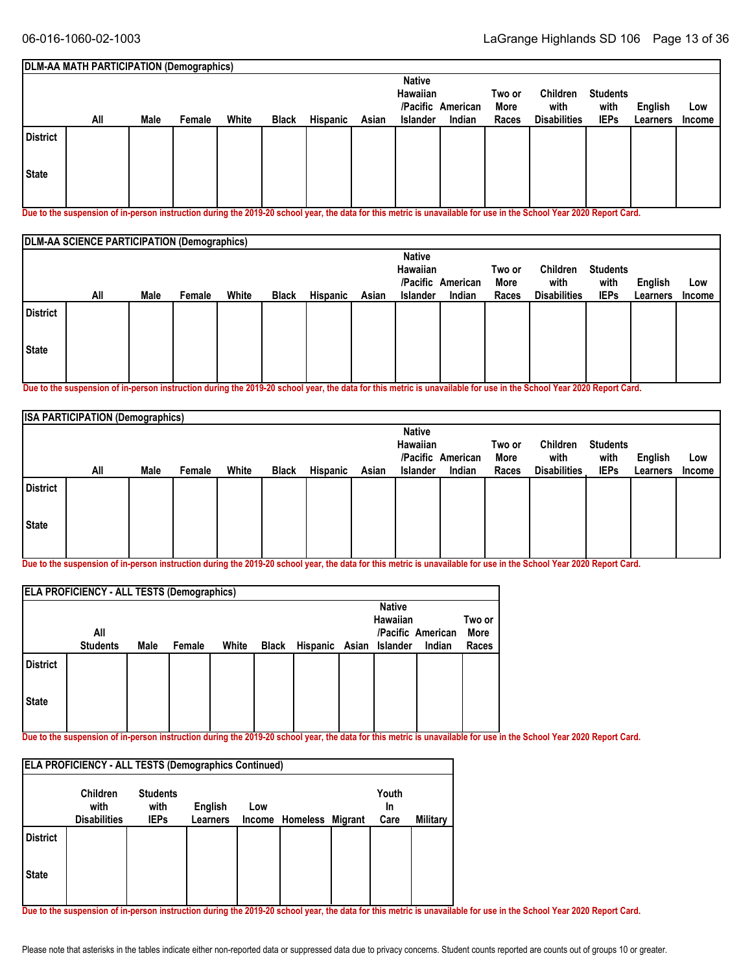|                 | DLM-AA MATH PARTICIPATION (Demographics) |      |        |       |              |          |       |                 |          |        |                     |                 |                |               |
|-----------------|------------------------------------------|------|--------|-------|--------------|----------|-------|-----------------|----------|--------|---------------------|-----------------|----------------|---------------|
|                 |                                          |      |        |       |              |          |       | <b>Native</b>   |          |        |                     |                 |                |               |
|                 |                                          |      |        |       |              |          |       | Hawaiian        |          | Two or | Children            | <b>Students</b> |                |               |
|                 |                                          |      |        |       |              |          |       | /Pacific        | American | More   | with                | with            | <b>English</b> | Low           |
|                 | All                                      | Male | Female | White | <b>Black</b> | Hispanic | Asian | <b>Islander</b> | Indian   | Races  | <b>Disabilities</b> | <b>IEPs</b>     | Learners       | <b>Income</b> |
| <b>District</b> |                                          |      |        |       |              |          |       |                 |          |        |                     |                 |                |               |
| State           |                                          |      |        |       |              |          |       |                 |          |        |                     |                 |                |               |
|                 |                                          |      |        |       |              |          |       |                 |          |        |                     |                 |                |               |

**Due to the suspension of in-person instruction during the 2019-20 school year, the data for this metric is unavailable for use in the School Year 2020 Report Card.**

|                 | DLM-AA SCIENCE PARTICIPATION (Demographics) |      |        |       |              |          |       |                           |                   |                |                     |                         |                |        |
|-----------------|---------------------------------------------|------|--------|-------|--------------|----------|-------|---------------------------|-------------------|----------------|---------------------|-------------------------|----------------|--------|
|                 |                                             |      |        |       |              |          |       | <b>Native</b><br>Hawaiian | /Pacific American | Two or<br>More | Children<br>with    | <b>Students</b><br>with | <b>English</b> | Low    |
|                 | All                                         | Male | Female | White | <b>Black</b> | Hispanic | Asian | <b>Islander</b>           | Indian            | Races          | <b>Disabilities</b> | <b>IEPs</b>             | Learners       | Income |
| <b>District</b> |                                             |      |        |       |              |          |       |                           |                   |                |                     |                         |                |        |
| State           |                                             |      |        |       |              |          |       |                           |                   |                |                     |                         |                |        |
|                 |                                             |      |        |       |              |          |       |                           |                   |                |                     |                         |                |        |

**Due to the suspension of in-person instruction during the 2019-20 school year, the data for this metric is unavailable for use in the School Year 2020 Report Card.**

|                 | <b>ISA PARTICIPATION (Demographics)</b> |      |        |       |              |                 |       |                           |                   |                |                     |                         |          |        |
|-----------------|-----------------------------------------|------|--------|-------|--------------|-----------------|-------|---------------------------|-------------------|----------------|---------------------|-------------------------|----------|--------|
|                 |                                         |      |        |       |              |                 |       | <b>Native</b><br>Hawaiian | /Pacific American | Two or<br>More | Children<br>with    | <b>Students</b><br>with | English  | Low    |
|                 | All                                     | Male | Female | White | <b>Black</b> | <b>Hispanic</b> | Asian | Islander                  | Indian            | Races          | <b>Disabilities</b> | <b>IEPs</b>             | Learners | Income |
| <b>District</b> |                                         |      |        |       |              |                 |       |                           |                   |                |                     |                         |          |        |
| State           |                                         |      |        |       |              |                 |       |                           |                   |                |                     |                         |          |        |
|                 |                                         |      |        |       |              |                 |       |                           |                   |                |                     |                         |          |        |

**Due to the suspension of in-person instruction during the 2019-20 school year, the data for this metric is unavailable for use in the School Year 2020 Report Card.**

|                 | <b>ELA PROFICIENCY - ALL TESTS (Demographics)</b> |      |        |       |       |                         |               |                   |        |
|-----------------|---------------------------------------------------|------|--------|-------|-------|-------------------------|---------------|-------------------|--------|
|                 |                                                   |      |        |       |       |                         | <b>Native</b> |                   |        |
|                 |                                                   |      |        |       |       |                         | Hawaiian      |                   | Two or |
|                 | All                                               |      |        |       |       |                         |               | /Pacific American | More   |
|                 | <b>Students</b>                                   | Male | Female | White | Black | Hispanic Asian Islander |               | Indian            | Races  |
| <b>District</b> |                                                   |      |        |       |       |                         |               |                   |        |
| <b>State</b>    |                                                   |      |        |       |       |                         |               |                   |        |
|                 |                                                   |      |        |       |       |                         |               |                   |        |

**Due to the suspension of in-person instruction during the 2019-20 school year, the data for this metric is unavailable for use in the School Year 2020 Report Card.**

|                 | <b>ELA PROFICIENCY - ALL TESTS (Demographics Continued)</b> |                                        |                            |     |                         |                     |          |
|-----------------|-------------------------------------------------------------|----------------------------------------|----------------------------|-----|-------------------------|---------------------|----------|
|                 | <b>Children</b><br>with<br><b>Disabilities</b>              | <b>Students</b><br>with<br><b>IEPs</b> | English<br><b>Learners</b> | Low | Income Homeless Migrant | Youth<br>In<br>Care | Military |
| <b>District</b> |                                                             |                                        |                            |     |                         |                     |          |
| <b>State</b>    |                                                             |                                        |                            |     |                         |                     |          |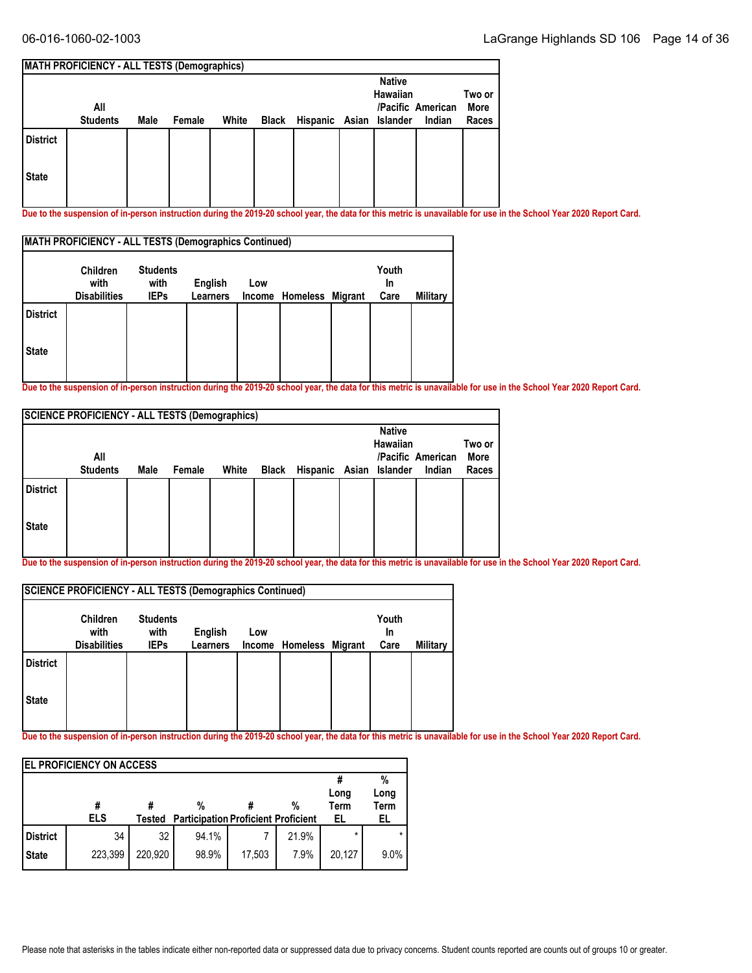#### **MATH PROFICIENCY - ALL TESTS (Demographics) All Students Native Hawaiian /Pacific American Islander Male Female White Black Hispanic Asian Indian Two or More Races State District**

**Due to the suspension of in-person instruction during the 2019-20 school year, the data for this metric is unavailable for use in the School Year 2020 Report Card.**

|                 | <b>MATH PROFICIENCY - ALL TESTS (Demographics Continued)</b> |                                        |                            |     |                         |                     |          |
|-----------------|--------------------------------------------------------------|----------------------------------------|----------------------------|-----|-------------------------|---------------------|----------|
|                 | <b>Children</b><br>with<br><b>Disabilities</b>               | <b>Students</b><br>with<br><b>IEPs</b> | English<br><b>Learners</b> | Low | Income Homeless Migrant | Youth<br>In<br>Care | Military |
| <b>District</b> |                                                              |                                        |                            |     |                         |                     |          |
| <b>State</b>    |                                                              |                                        |                            |     |                         |                     |          |

**Due to the suspension of in-person instruction during the 2019-20 school year, the data for this metric is unavailable for use in the School Year 2020 Report Card.**

|                 |      |        |       |                                                       | <b>Native</b> |        | Two or                                                         |
|-----------------|------|--------|-------|-------------------------------------------------------|---------------|--------|----------------------------------------------------------------|
| All             |      |        |       |                                                       |               |        | More                                                           |
| <b>Students</b> | Male | Female | White |                                                       |               | Indian | Races                                                          |
|                 |      |        |       |                                                       |               |        |                                                                |
|                 |      |        |       |                                                       |               |        |                                                                |
|                 |      |        |       | <b>SCIENCE PROFICIENCY - ALL TESTS (Demographics)</b> |               |        | Hawaiian<br>/Pacific American<br>Black Hispanic Asian Islander |

**Due to the suspension of in-person instruction during the 2019-20 school year, the data for this metric is unavailable for use in the School Year 2020 Report Card.**

|                 | SCIENCE PROFICIENCY - ALL TESTS (Demographics Continued) |                                        |                            |     |                         |                     |          |
|-----------------|----------------------------------------------------------|----------------------------------------|----------------------------|-----|-------------------------|---------------------|----------|
|                 | <b>Children</b><br>with<br><b>Disabilities</b>           | <b>Students</b><br>with<br><b>IEPs</b> | English<br><b>Learners</b> | Low | Income Homeless Migrant | Youth<br>In<br>Care | Military |
| <b>District</b> |                                                          |                                        |                            |     |                         |                     |          |
| <b>State</b>    |                                                          |                                        |                            |     |                         |                     |          |

|                 | <b>IEL PROFICIENCY ON ACCESS</b> |         |                                                 |        |       |                           |                                |
|-----------------|----------------------------------|---------|-------------------------------------------------|--------|-------|---------------------------|--------------------------------|
|                 | #<br><b>ELS</b>                  | Tested  | %<br><b>Participation Proficient Proficient</b> |        | %     | Long<br><b>Term</b><br>EL | %<br>Long<br><b>Term</b><br>EL |
| <b>District</b> | 34                               | 32      | 94.1%                                           |        | 21.9% | $\star$                   |                                |
| <b>State</b>    | 223,399                          | 220.920 | 98.9%                                           | 17,503 | 7.9%  | 20,127                    | 9.0%                           |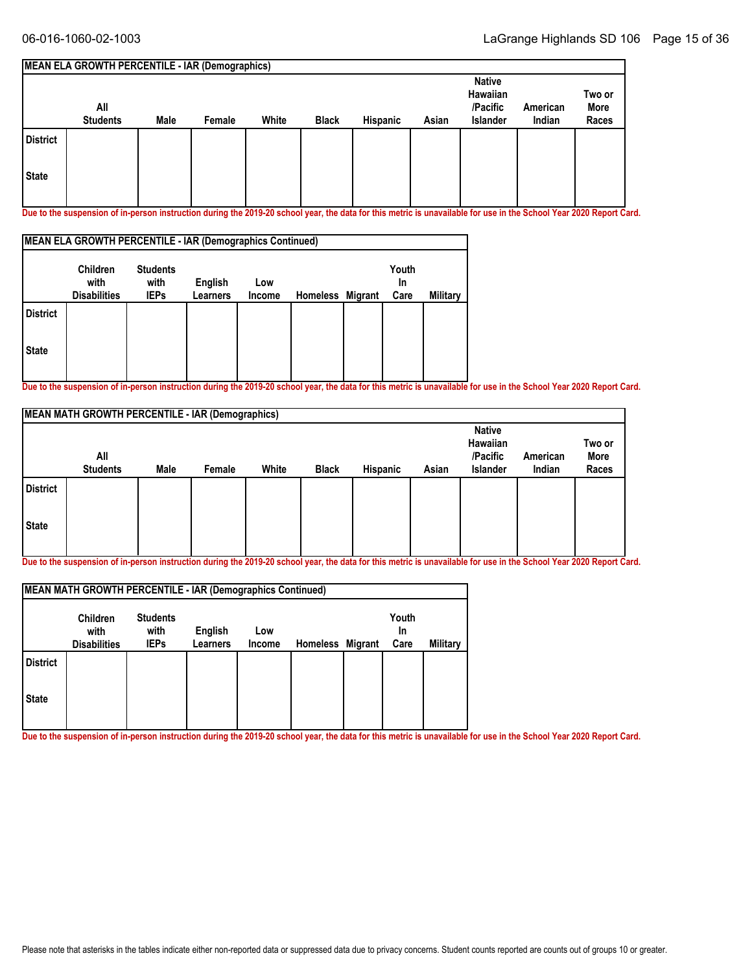#### **MEAN ELA GROWTH PERCENTILE - IAR (Demographics) All Students Native Hawaiian /Pacific Islander American Male Female White Black Hispanic Asian Indian Two or More Races State District**

**Due to the suspension of in-person instruction during the 2019-20 school year, the data for this metric is unavailable for use in the School Year 2020 Report Card.**

|                 | MEAN ELA GROWTH PERCENTILE - IAR (Demographics Continued) |                                        |                     |               |                  |                     |                 |
|-----------------|-----------------------------------------------------------|----------------------------------------|---------------------|---------------|------------------|---------------------|-----------------|
|                 | <b>Children</b><br>with<br><b>Disabilities</b>            | <b>Students</b><br>with<br><b>IEPs</b> | English<br>Learners | Low<br>Income | Homeless Migrant | Youth<br>In<br>Care | <b>Military</b> |
| <b>District</b> |                                                           |                                        |                     |               |                  |                     |                 |
| <b>State</b>    |                                                           |                                        |                     |               |                  |                     |                 |

**Due to the suspension of in-person instruction during the 2019-20 school year, the data for this metric is unavailable for use in the School Year 2020 Report Card.**

|                 | <b>MEAN MATH GROWTH PERCENTILE - IAR (Demographics)</b> |      |        |       |              |          |       |                                                   |                    |                         |
|-----------------|---------------------------------------------------------|------|--------|-------|--------------|----------|-------|---------------------------------------------------|--------------------|-------------------------|
|                 | All<br><b>Students</b>                                  | Male | Female | White | <b>Black</b> | Hispanic | Asian | <b>Native</b><br>Hawaiian<br>/Pacific<br>Islander | American<br>Indian | Two or<br>More<br>Races |
| <b>District</b> |                                                         |      |        |       |              |          |       |                                                   |                    |                         |
| <b>State</b>    |                                                         |      |        |       |              |          |       |                                                   |                    |                         |

**Due to the suspension of in-person instruction during the 2019-20 school year, the data for this metric is unavailable for use in the School Year 2020 Report Card.**

|                 | <b>MEAN MATH GROWTH PERCENTILE - IAR (Demographics Continued)</b> |                                        |                            |               |                  |                     |          |
|-----------------|-------------------------------------------------------------------|----------------------------------------|----------------------------|---------------|------------------|---------------------|----------|
|                 | <b>Children</b><br>with<br><b>Disabilities</b>                    | <b>Students</b><br>with<br><b>IEPs</b> | English<br><b>Learners</b> | Low<br>Income | Homeless Migrant | Youth<br>In<br>Care | Military |
| <b>District</b> |                                                                   |                                        |                            |               |                  |                     |          |
| <b>State</b>    |                                                                   |                                        |                            |               |                  |                     |          |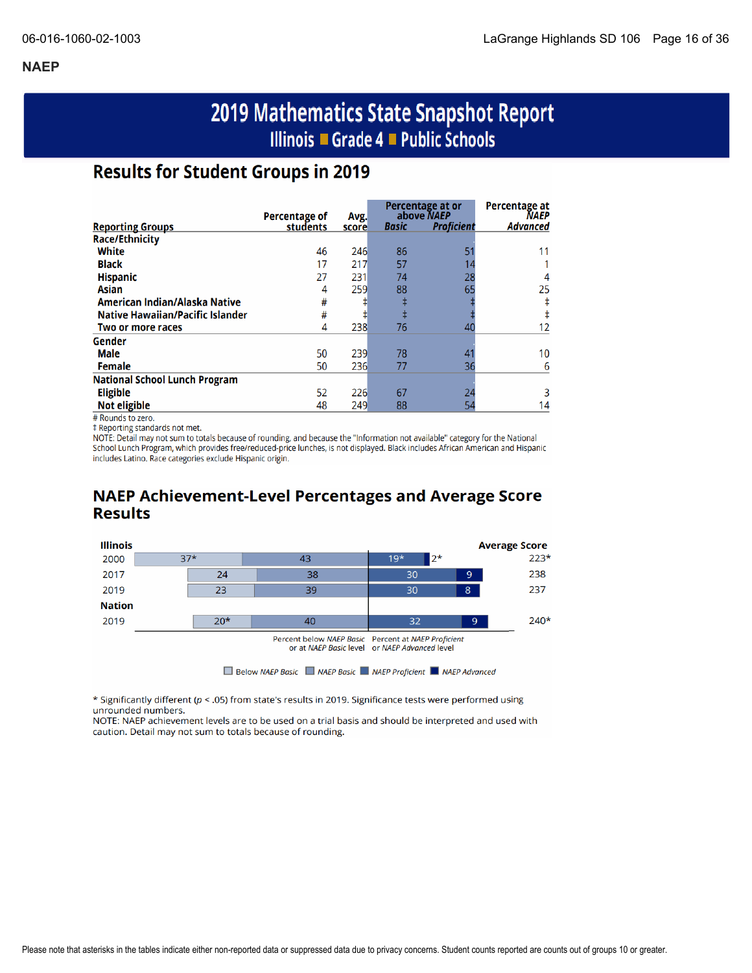# 2019 Mathematics State Snapshot Report Illinois ■ Grade 4 ■ Public Schools

### **Results for Student Groups in 2019**

|                                         |                           |               |       | Percentage at or<br>above NAEP | Percentage at<br><b>NAEP</b> |
|-----------------------------------------|---------------------------|---------------|-------|--------------------------------|------------------------------|
| <b>Reporting Groups</b>                 | Percentage of<br>students | Avg.<br>score | Basic | <b>Proficient</b>              | <b>Advanced</b>              |
| <b>Race/Ethnicity</b>                   |                           |               |       |                                |                              |
| White                                   | 46                        | 246           | 86    |                                | 11                           |
| <b>Black</b>                            | 17                        | 217           | 57    |                                |                              |
| <b>Hispanic</b>                         | 27                        | 231           | 74    | 28                             |                              |
| <b>Asian</b>                            | 4                         | 259           | 88    | 65                             | 25                           |
| American Indian/Alaska Native           | #                         |               |       |                                |                              |
| <b>Native Hawaiian/Pacific Islander</b> | #                         | ŧ             |       |                                |                              |
| Two or more races                       | 4                         | 238           | 76    | 40                             | 12                           |
| Gender                                  |                           |               |       |                                |                              |
| Male                                    | 50                        | 239           | 78    |                                | 10                           |
| Female                                  | 50                        | 236           | 77    | 36                             | 6                            |
| <b>National School Lunch Program</b>    |                           |               |       |                                |                              |
| <b>Eligible</b>                         | 52                        | 226           | 67    | 24                             | 3                            |
| <b>Not eligible</b>                     | 48                        | 249           | 88    | 54                             | 14                           |

# Rounds to zero.

‡ Reporting standards not met.

NOTE: Detail may not sum to totals because of rounding, and because the "Information not available" category for the National School Lunch Program, which provides free/reduced-price lunches, is not displayed. Black includes African American and Hispanic includes Latino. Race categories exclude Hispanic origin.

### **NAEP Achievement-Level Percentages and Average Score Results**



\* Significantly different (p < .05) from state's results in 2019. Significance tests were performed using unrounded numbers.

NOTE: NAEP achievement levels are to be used on a trial basis and should be interpreted and used with caution. Detail may not sum to totals because of rounding.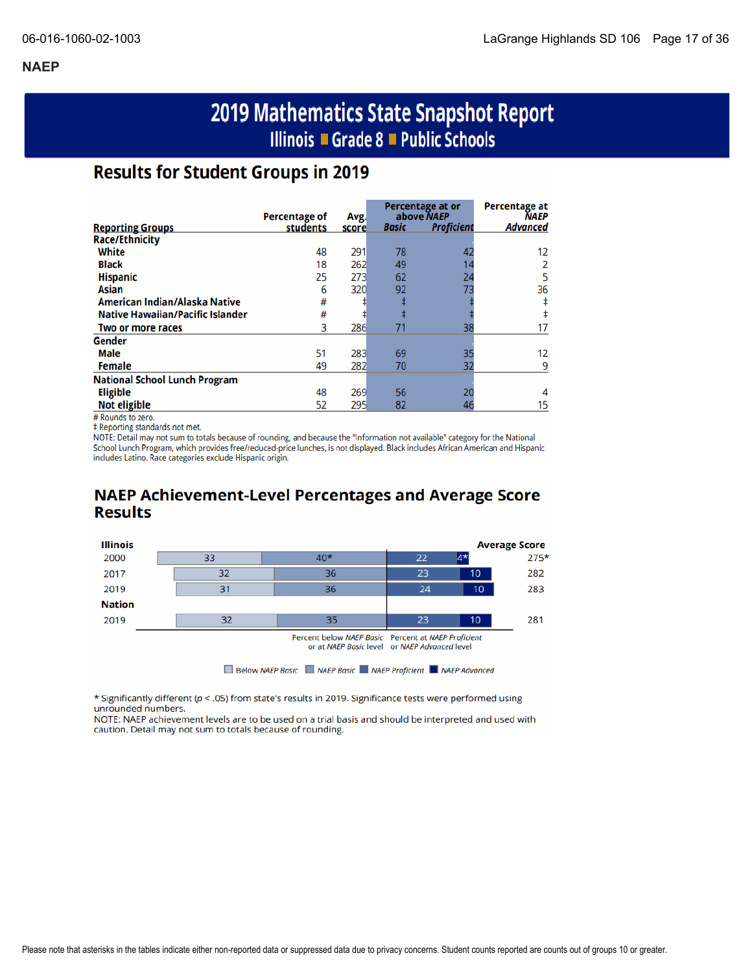# 2019 Mathematics State Snapshot Report Illinois ■ Grade 8 ■ Public Schools

### **Results for Student Groups in 2019**

|                                         | Percentage of | Avg.  |              | Percentage at or<br>above NAEP | <b>Percentage at</b><br><b>NAEP</b> |
|-----------------------------------------|---------------|-------|--------------|--------------------------------|-------------------------------------|
| <b>Reporting Groups</b>                 | students      | score | <b>Basic</b> | <b>Proficient</b>              | Advanced                            |
| <b>Race/Ethnicity</b>                   |               |       |              |                                |                                     |
| White                                   | 48            | 291   | 78           | 42                             | 12                                  |
| <b>Black</b>                            | 18            | 262   | 49           | 14                             |                                     |
| <b>Hispanic</b>                         | 25            | 273   | 62           | 24                             |                                     |
| Asian                                   | 6             | 320   | 92           | 73                             | 36                                  |
| American Indian/Alaska Native           | #             |       |              |                                |                                     |
| <b>Native Hawaiian/Pacific Islander</b> | #             |       | ŧ            |                                |                                     |
| Two or more races                       | 3             | 286   | 71           | 38                             |                                     |
| Gender                                  |               |       |              |                                |                                     |
| Male                                    | 51            | 283   | 69           | 35                             | 12                                  |
| <b>Female</b>                           | 49            | 282   | 70           | 32                             | q                                   |
| <b>National School Lunch Program</b>    |               |       |              |                                |                                     |
| <b>Eligible</b>                         | 48            | 269   | 56           | 20                             |                                     |
| <b>Not eligible</b>                     | 52            | 295   | 82           | 46                             | 15                                  |

# Rounds to zero.

‡ Reporting standards not met.

NOTE: Detail may not sum to totals because of rounding, and because the "Information not available" category for the National School Lunch Program, which provides free/reduced-price lunches, is not displayed. Black includes African American and Hispanic includes Latino. Race categories exclude Hispanic origin.

### **NAEP Achievement-Level Percentages and Average Score Results**



\* Significantly different ( $p <$  .05) from state's results in 2019. Significance tests were performed using unrounded numbers.

NOTE: NAEP achievement levels are to be used on a trial basis and should be interpreted and used with caution. Detail may not sum to totals because of rounding.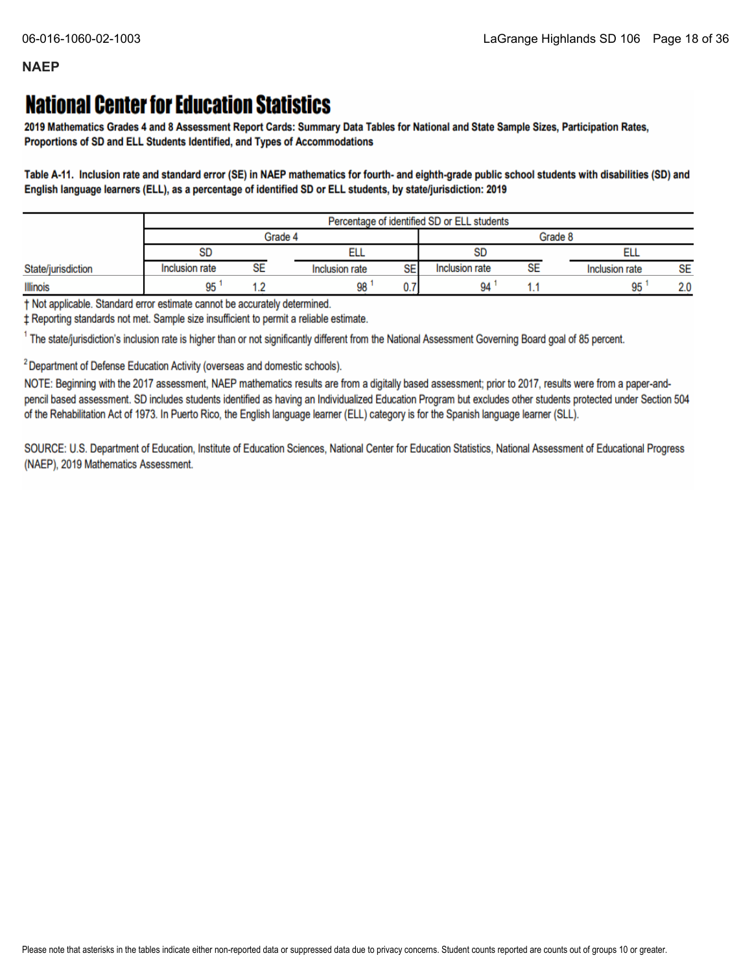# **National Center for Education Statistics**

2019 Mathematics Grades 4 and 8 Assessment Report Cards: Summary Data Tables for National and State Sample Sizes, Participation Rates, Proportions of SD and ELL Students Identified, and Types of Accommodations

Table A-11. Inclusion rate and standard error (SE) in NAEP mathematics for fourth- and eighth-grade public school students with disabilities (SD) and English language learners (ELL), as a percentage of identified SD or ELL students, by state/jurisdiction: 2019

|                    |                | Percentage of identified SD or ELL students |                             |                |    |                |           |
|--------------------|----------------|---------------------------------------------|-----------------------------|----------------|----|----------------|-----------|
|                    | Grade 4        |                                             |                             | Grade 8        |    |                |           |
|                    | <b>SD</b>      |                                             |                             | SD             |    | ᄟ              |           |
| State/jurisdiction | Inclusion rate | SE                                          | <b>SE</b><br>Inclusion rate | Inclusion rate | SE | Inclusion rate | <b>SE</b> |
| <b>Illinois</b>    | 95             |                                             | 98<br>v.                    | 94             |    | 95             | 2.0       |

† Not applicable. Standard error estimate cannot be accurately determined.

± Reporting standards not met. Sample size insufficient to permit a reliable estimate.

<sup>1</sup> The state/jurisdiction's inclusion rate is higher than or not significantly different from the National Assessment Governing Board goal of 85 percent.

<sup>2</sup> Department of Defense Education Activity (overseas and domestic schools).

NOTE: Beginning with the 2017 assessment, NAEP mathematics results are from a digitally based assessment; prior to 2017, results were from a paper-andpencil based assessment. SD includes students identified as having an Individualized Education Program but excludes other students protected under Section 504 of the Rehabilitation Act of 1973. In Puerto Rico, the English language learner (ELL) category is for the Spanish language learner (SLL).

SOURCE: U.S. Department of Education, Institute of Education Sciences, National Center for Education Statistics, National Assessment of Educational Progress (NAEP), 2019 Mathematics Assessment.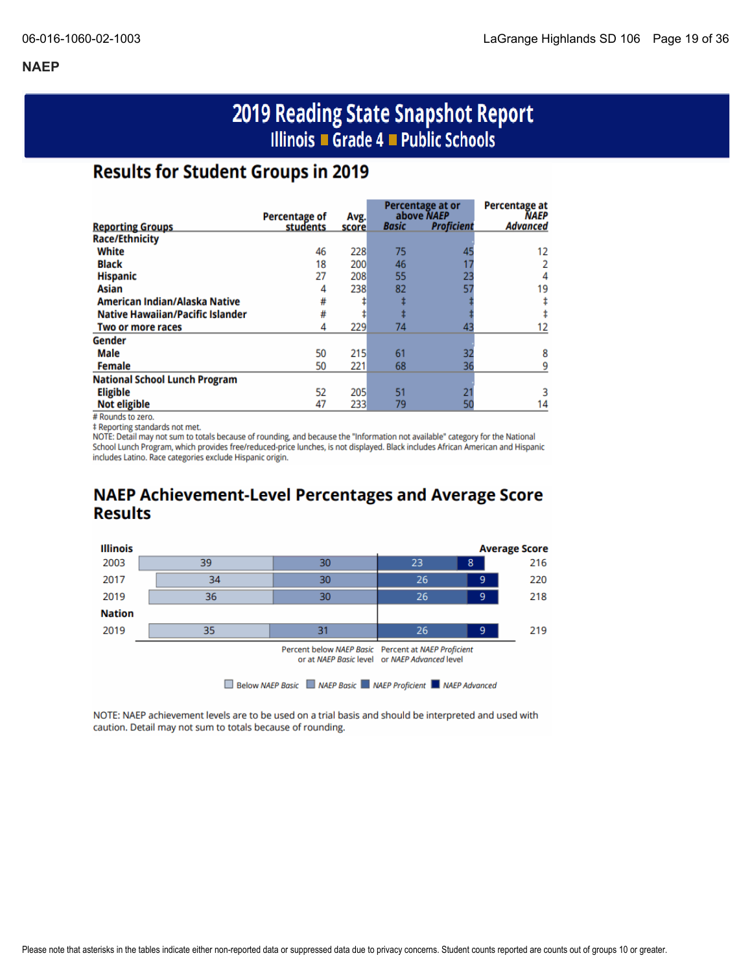# 2019 Reading State Snapshot Report Illinois ■ Grade 4 ■ Public Schools

### **Results for Student Groups in 2019**

|                                         | <b>Percentage of</b> |               |              | Percentage at or<br>above NAEP | <b>Percentage at</b><br><b>NAEP</b> |
|-----------------------------------------|----------------------|---------------|--------------|--------------------------------|-------------------------------------|
| <b>Reporting Groups</b>                 | students             | Avg.<br>score | <b>Basic</b> | <b>Proficient</b>              | <b>Advanced</b>                     |
| <b>Race/Ethnicity</b>                   |                      |               |              |                                |                                     |
| White                                   | 46                   | 228           | 75           | 45                             | 12                                  |
| <b>Black</b>                            | 18                   | 200           | 46           |                                |                                     |
| <b>Hispanic</b>                         | 27                   | 208           | 55           | 23                             | 4                                   |
| Asian                                   | 4                    | 238           | 82           | 57                             | 19                                  |
| American Indian/Alaska Native           | #                    |               |              |                                |                                     |
| <b>Native Hawaiian/Pacific Islander</b> | #                    |               |              |                                |                                     |
| Two or more races                       | 4                    | 229           | 74           | 43                             |                                     |
| Gender                                  |                      |               |              |                                |                                     |
| Male                                    | 50                   | 215           | 61           | 32                             | 8                                   |
| <b>Female</b>                           | 50                   | 221           | 68           | 36                             |                                     |
| <b>National School Lunch Program</b>    |                      |               |              |                                |                                     |
| <b>Eligible</b>                         | 52                   | 205           | 51           |                                |                                     |
| <b>Not eligible</b>                     | 47                   | 233           | 79           |                                | 14                                  |

# Rounds to zero.

‡ Reporting standards not met.

NOTE: Detail may not sum to totals because of rounding, and because the "Information not available" category for the National School Lunch Program, which provides free/reduced-price lunches, is not displayed. Black includes African American and Hispanic includes Latino. Race categories exclude Hispanic origin.

### **NAEP Achievement-Level Percentages and Average Score Results**



NOTE: NAEP achievement levels are to be used on a trial basis and should be interpreted and used with caution. Detail may not sum to totals because of rounding.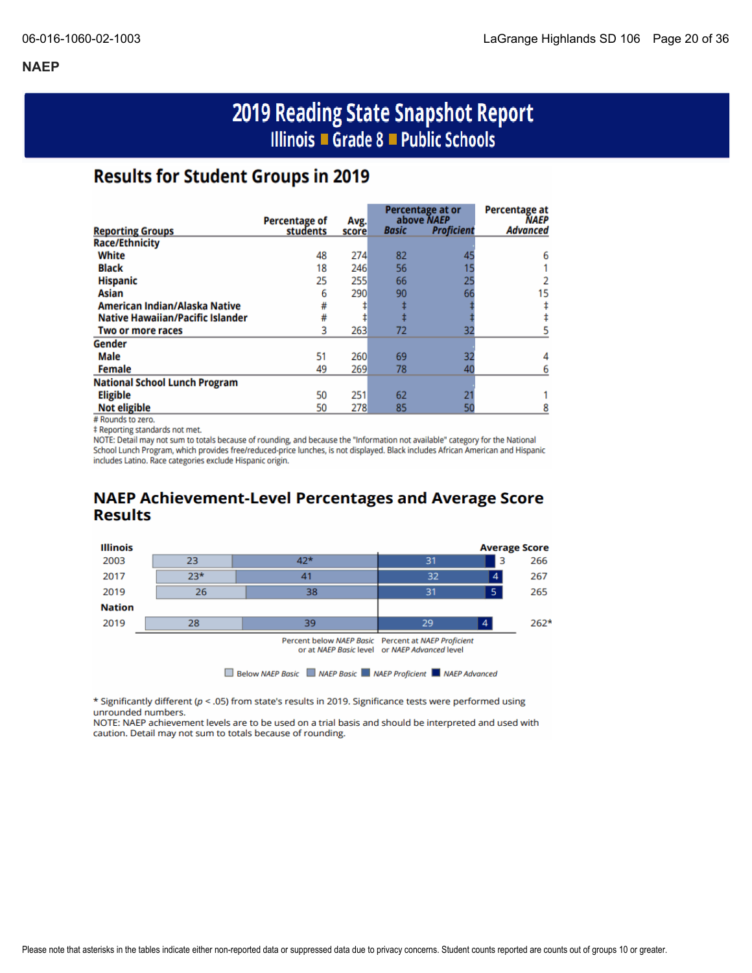# 2019 Reading State Snapshot Report Illinois ■ Grade 8 ■ Public Schools

### **Results for Student Groups in 2019**

|                                         |                                  |       |              | Percentage at or                | Percentage at           |
|-----------------------------------------|----------------------------------|-------|--------------|---------------------------------|-------------------------|
|                                         | <b>Percentage of</b><br>students | Avg.  | <b>Basic</b> | above NAEP<br><b>Proficient</b> | NAEP<br><b>Advanced</b> |
| <b>Reporting Groups</b>                 |                                  | score |              |                                 |                         |
| <b>Race/Ethnicity</b>                   |                                  |       |              |                                 |                         |
| White                                   | 48                               | 274   | 82           | 45                              | 6                       |
| <b>Black</b>                            | 18                               | 246   | 56           |                                 |                         |
| <b>Hispanic</b>                         | 25                               | 255   | 66           | 25                              |                         |
| Asian                                   | 6                                | 290   | 90           | 66                              | 15                      |
| American Indian/Alaska Native           | #                                |       |              |                                 |                         |
| <b>Native Hawaiian/Pacific Islander</b> | #                                |       |              |                                 |                         |
| Two or more races                       | 3                                | 263   | 72           | 32                              |                         |
| Gender                                  |                                  |       |              |                                 |                         |
| <b>Male</b>                             | 51                               | 260   | 69           | 32                              |                         |
| <b>Female</b>                           | 49                               | 269   | 78           | 40                              |                         |
| <b>National School Lunch Program</b>    |                                  |       |              |                                 |                         |
| <b>Eligible</b>                         | 50                               | 251   | 62           |                                 |                         |
| <b>Not eligible</b>                     | 50                               | 278   | 85           | 50                              |                         |

# Rounds to zero.

‡ Reporting standards not met.

NOTE: Detail may not sum to totals because of rounding, and because the "Information not available" category for the National School Lunch Program, which provides free/reduced-price lunches, is not displayed. Black includes African American and Hispanic includes Latino. Race categories exclude Hispanic origin.

### **NAEP Achievement-Level Percentages and Average Score Results**



\* Significantly different ( $p < .05$ ) from state's results in 2019. Significance tests were performed using unrounded numbers.

NOTE: NAEP achievement levels are to be used on a trial basis and should be interpreted and used with caution. Detail may not sum to totals because of rounding.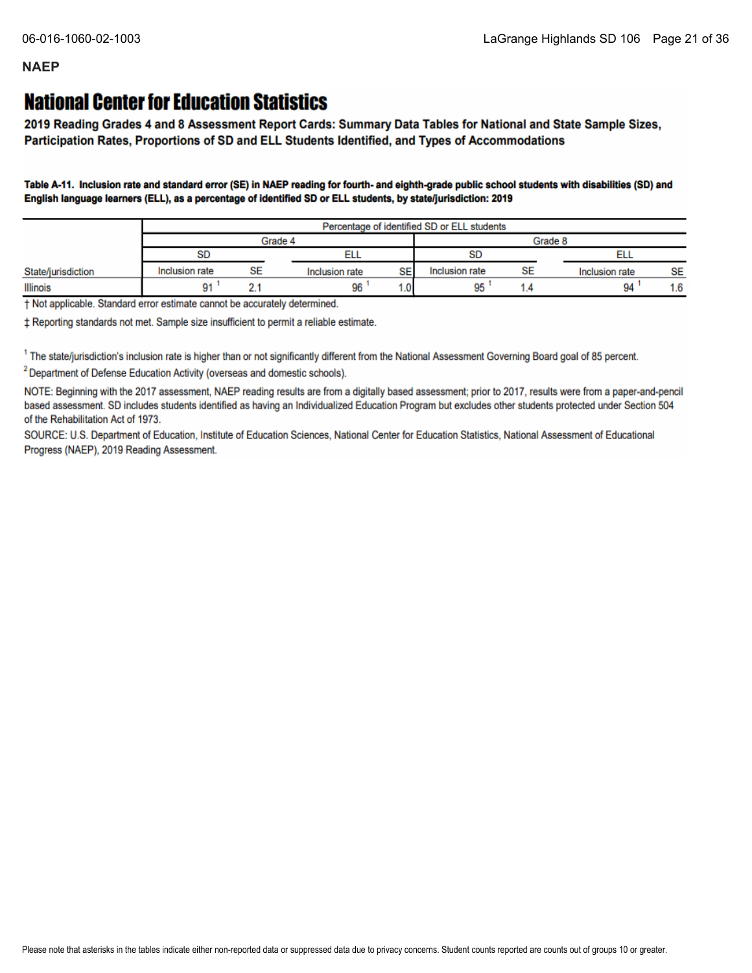## **National Center for Education Statistics**

2019 Reading Grades 4 and 8 Assessment Report Cards: Summary Data Tables for National and State Sample Sizes, Participation Rates, Proportions of SD and ELL Students Identified, and Types of Accommodations

Table A-11. Inclusion rate and standard error (SE) in NAEP reading for fourth- and eighth-grade public school students with disabilities (SD) and English language learners (ELL), as a percentage of identified SD or ELL students, by state/jurisdiction: 2019

|                    |                | Percentage of identified SD or ELL students |                |         |                |    |                |           |
|--------------------|----------------|---------------------------------------------|----------------|---------|----------------|----|----------------|-----------|
|                    | Grade 4        |                                             |                | Grade 8 |                |    |                |           |
|                    | SD             |                                             | ᄄᄔ             |         | <b>SD</b>      |    |                |           |
| State/jurisdiction | Inclusion rate | SE                                          | Inclusion rate | SE      | Inclusion rate | SE | Inclusion rate | <b>SE</b> |
| Illinois           | 91             |                                             | 96             | ∴0.     | 95             |    | 94             | 1.6       |

† Not applicable. Standard error estimate cannot be accurately determined.

± Reporting standards not met. Sample size insufficient to permit a reliable estimate.

<sup>1</sup> The state/jurisdiction's inclusion rate is higher than or not significantly different from the National Assessment Governing Board goal of 85 percent.

<sup>2</sup> Department of Defense Education Activity (overseas and domestic schools).

NOTE: Beginning with the 2017 assessment, NAEP reading results are from a digitally based assessment; prior to 2017, results were from a paper-and-pencil based assessment. SD includes students identified as having an Individualized Education Program but excludes other students protected under Section 504 of the Rehabilitation Act of 1973.

SOURCE: U.S. Department of Education, Institute of Education Sciences, National Center for Education Statistics, National Assessment of Educational Progress (NAEP), 2019 Reading Assessment.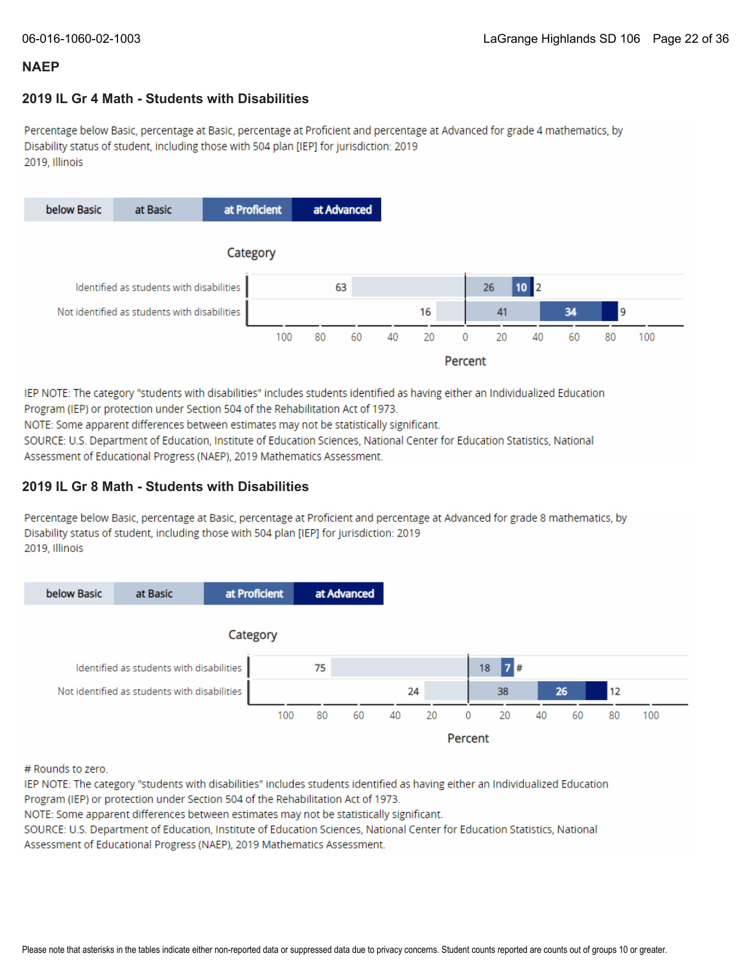### **2019 IL Gr 4 Math - Students with Disabilities**

Percentage below Basic, percentage at Basic, percentage at Proficient and percentage at Advanced for grade 4 mathematics, by Disability status of student, including those with 504 plan [IEP] for jurisdiction: 2019 2019, Illinois



IEP NOTE: The category "students with disabilities" includes students identified as having either an Individualized Education Program (IEP) or protection under Section 504 of the Rehabilitation Act of 1973.

NOTE: Some apparent differences between estimates may not be statistically significant.

SOURCE: U.S. Department of Education, Institute of Education Sciences, National Center for Education Statistics, National Assessment of Educational Progress (NAEP), 2019 Mathematics Assessment.

### **2019 IL Gr 8 Math - Students with Disabilities**

Percentage below Basic, percentage at Basic, percentage at Proficient and percentage at Advanced for grade 8 mathematics, by Disability status of student, including those with 504 plan [IEP] for jurisdiction: 2019 2019, Illinois



# Rounds to zero.

IEP NOTE: The category "students with disabilities" includes students identified as having either an Individualized Education Program (IEP) or protection under Section 504 of the Rehabilitation Act of 1973.

NOTE: Some apparent differences between estimates may not be statistically significant.

SOURCE: U.S. Department of Education, Institute of Education Sciences, National Center for Education Statistics, National Assessment of Educational Progress (NAEP), 2019 Mathematics Assessment.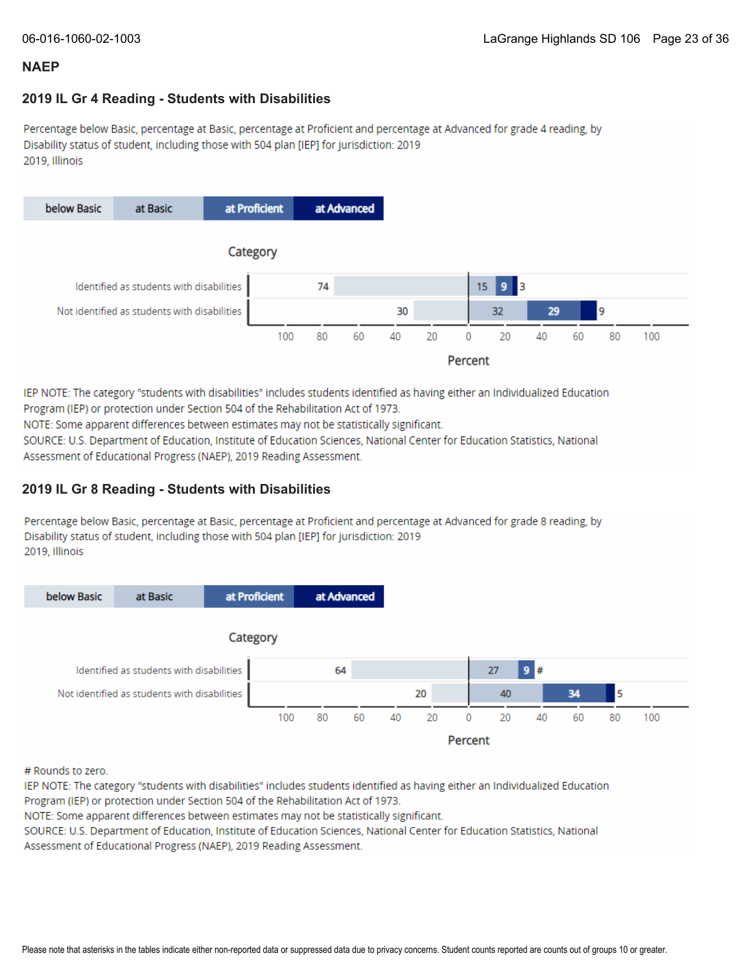### **2019 IL Gr 4 Reading - Students with Disabilities**

Percentage below Basic, percentage at Basic, percentage at Proficient and percentage at Advanced for grade 4 reading, by Disability status of student, including those with 504 plan [IEP] for jurisdiction: 2019 2019, Illinois



IEP NOTE: The category "students with disabilities" includes students identified as having either an Individualized Education Program (IEP) or protection under Section 504 of the Rehabilitation Act of 1973.

NOTE: Some apparent differences between estimates may not be statistically significant.

SOURCE: U.S. Department of Education, Institute of Education Sciences, National Center for Education Statistics, National Assessment of Educational Progress (NAEP), 2019 Reading Assessment.

### **2019 IL Gr 8 Reading - Students with Disabilities**

Percentage below Basic, percentage at Basic, percentage at Proficient and percentage at Advanced for grade 8 reading, by Disability status of student, including those with 504 plan [IEP] for jurisdiction: 2019 2019, Illinois



# Rounds to zero.

IEP NOTE: The category "students with disabilities" includes students identified as having either an Individualized Education Program (IEP) or protection under Section 504 of the Rehabilitation Act of 1973.

NOTE: Some apparent differences between estimates may not be statistically significant.

SOURCE: U.S. Department of Education, Institute of Education Sciences, National Center for Education Statistics, National Assessment of Educational Progress (NAEP), 2019 Reading Assessment.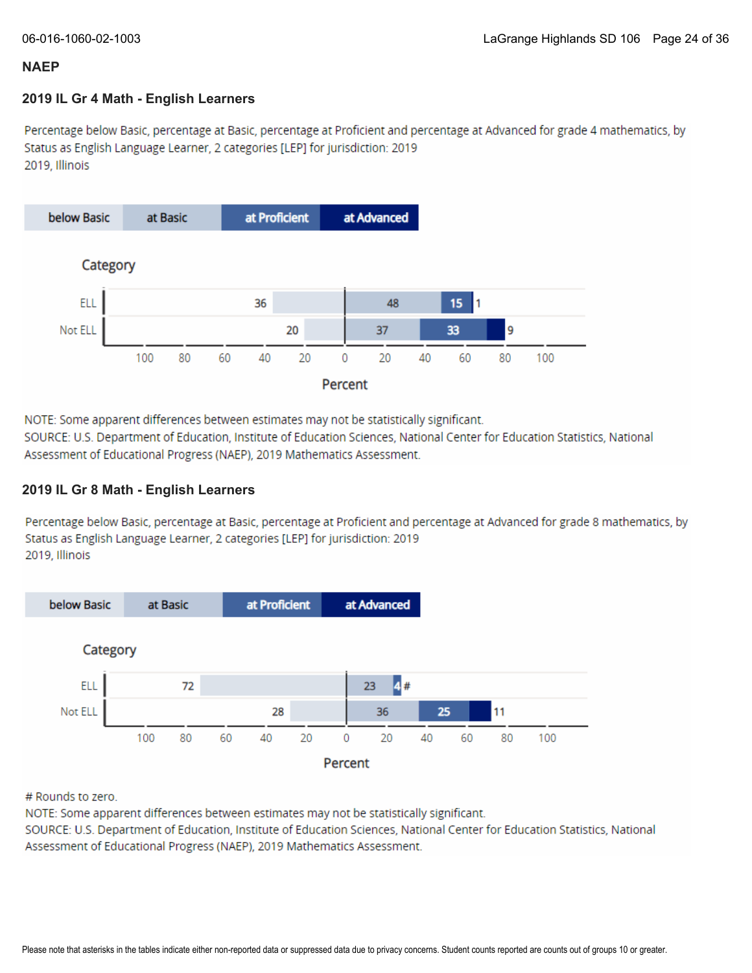### **2019 IL Gr 4 Math - English Learners**

Percentage below Basic, percentage at Basic, percentage at Proficient and percentage at Advanced for grade 4 mathematics, by Status as English Language Learner, 2 categories [LEP] for jurisdiction: 2019 2019. Illinois



NOTE: Some apparent differences between estimates may not be statistically significant.

SOURCE: U.S. Department of Education, Institute of Education Sciences, National Center for Education Statistics, National Assessment of Educational Progress (NAEP), 2019 Mathematics Assessment.

### **2019 IL Gr 8 Math - English Learners**

Percentage below Basic, percentage at Basic, percentage at Proficient and percentage at Advanced for grade 8 mathematics, by Status as English Language Learner, 2 categories [LEP] for jurisdiction: 2019 2019. Illinois



# Rounds to zero.

NOTE: Some apparent differences between estimates may not be statistically significant.

SOURCE: U.S. Department of Education, Institute of Education Sciences, National Center for Education Statistics, National Assessment of Educational Progress (NAEP), 2019 Mathematics Assessment.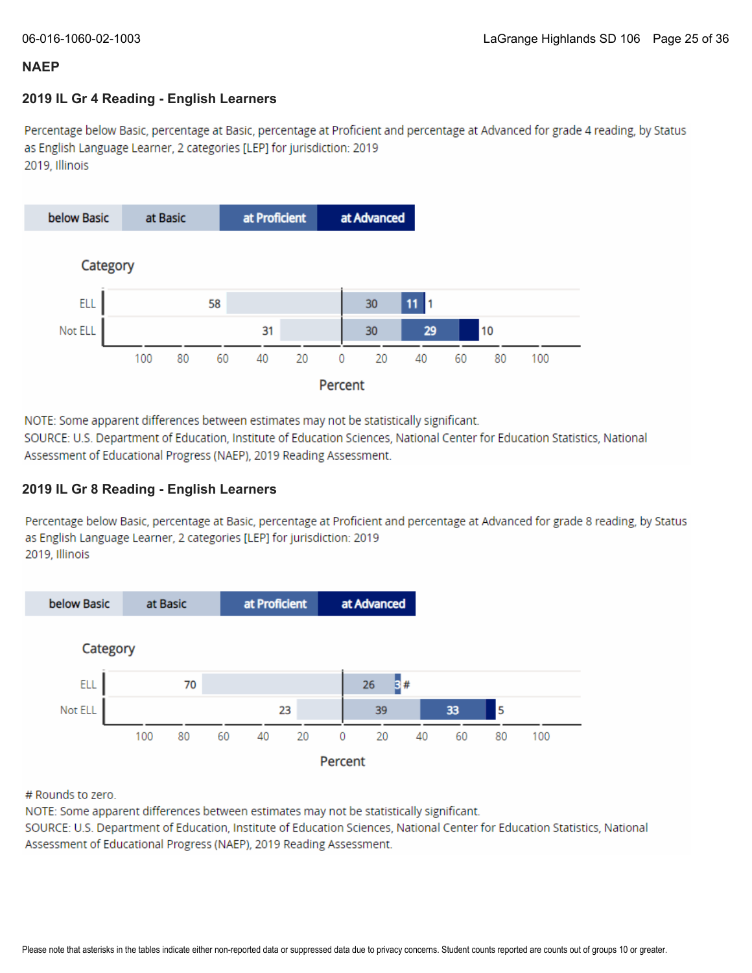### **2019 IL Gr 4 Reading - English Learners**

Percentage below Basic, percentage at Basic, percentage at Proficient and percentage at Advanced for grade 4 reading, by Status as English Language Learner, 2 categories [LEP] for jurisdiction: 2019 2019, Illinois



NOTE: Some apparent differences between estimates may not be statistically significant.

SOURCE: U.S. Department of Education, Institute of Education Sciences, National Center for Education Statistics, National Assessment of Educational Progress (NAEP), 2019 Reading Assessment.

### **2019 IL Gr 8 Reading - English Learners**

Percentage below Basic, percentage at Basic, percentage at Proficient and percentage at Advanced for grade 8 reading, by Status as English Language Learner, 2 categories [LEP] for jurisdiction: 2019 2019, Illinois



# Rounds to zero.

NOTE: Some apparent differences between estimates may not be statistically significant.

SOURCE: U.S. Department of Education, Institute of Education Sciences, National Center for Education Statistics, National Assessment of Educational Progress (NAEP), 2019 Reading Assessment.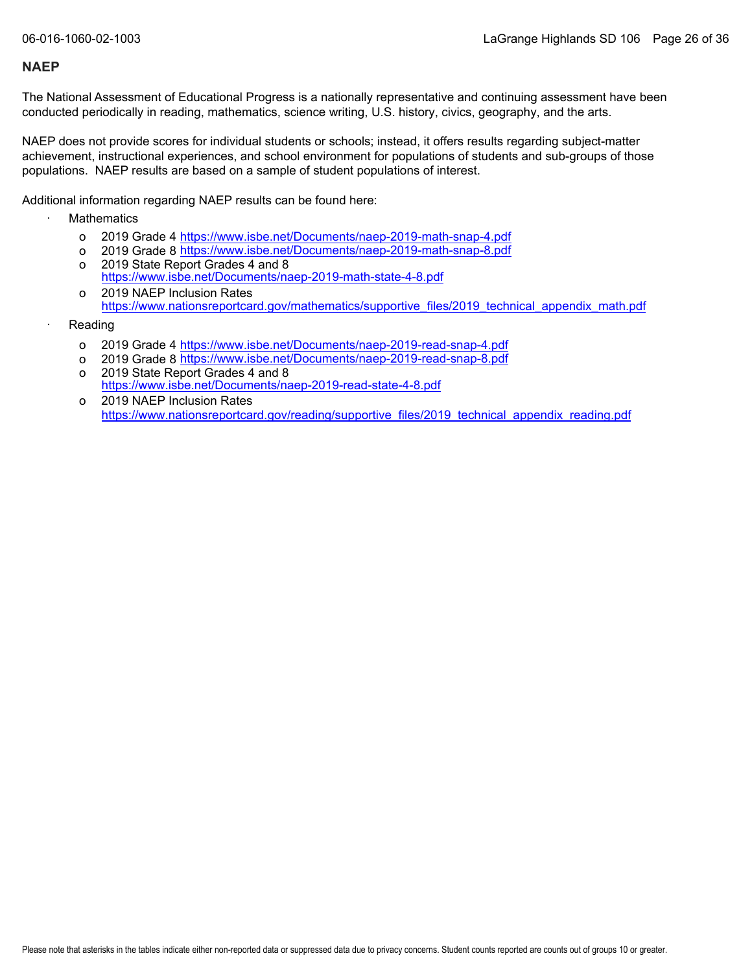The National Assessment of Educational Progress is a nationally representative and continuing assessment have been conducted periodically in reading, mathematics, science writing, U.S. history, civics, geography, and the arts.

NAEP does not provide scores for individual students or schools; instead, it offers results regarding subject-matter achievement, instructional experiences, and school environment for populations of students and sub-groups of those populations. NAEP results are based on a sample of student populations of interest.

Additional information regarding NAEP results can be found here:

- **Mathematics** 
	- o 2019 Grade 4 <u><https://www.isbe.net/Documents/naep-2019-math-snap-4.pdf></u>
	- o 2019 Grade 8 <u><https://www.isbe.net/Documents/naep-2019-math-snap-8.pdf></u>
	- o 2019 State Report Grades 4 and 8 <https://www.isbe.net/Documents/naep-2019-math-state-4-8.pdf>
	- o 2019 NAEP Inclusion Rates [https://www.nationsreportcard.gov/mathematics/supportive\\_files/2019\\_technical\\_appendix\\_math.pdf](https://www.nationsreportcard.gov/mathematics/supportive_files/2019_technical_appendix_math.pdf)
- **Reading** 
	- o 2019 Grade 4 <u><https://www.isbe.net/Documents/naep-2019-read-snap-4.pdf></u>
	- o 2019 Grade 8 <u><https://www.isbe.net/Documents/naep-2019-read-snap-8.pdf></u>
	- o 2019 State Report Grades 4 and 8 <https://www.isbe.net/Documents/naep-2019-read-state-4-8.pdf>
	- o 2019 NAEP Inclusion Rates [https://www.nationsreportcard.gov/reading/supportive\\_files/2019\\_technical\\_appendix\\_reading.pdf](https://www.nationsreportcard.gov/reading/supportive_files/2019_technical_appendix_reading.pdf)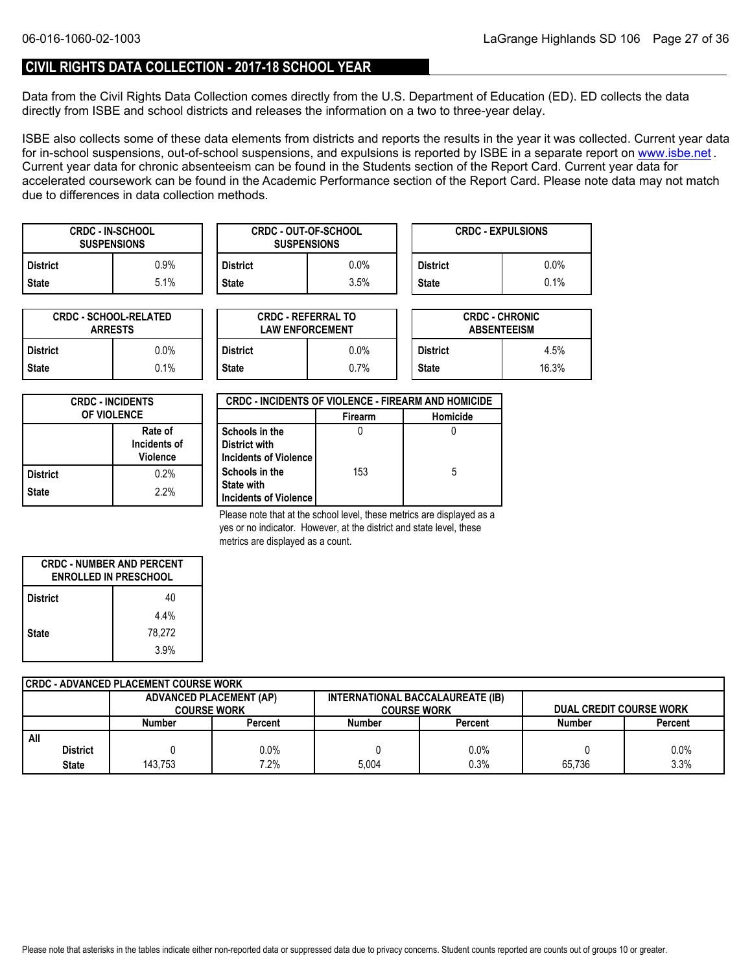### **CIVIL RIGHTS DATA COLLECTION - 2017-18 SCHOOL YEAR**

Data from the Civil Rights Data Collection comes directly from the U.S. Department of Education (ED). ED collects the data directly from ISBE and school districts and releases the information on a two to three-year delay.

ISBE also collects some of these data elements from districts and reports the results in the year it was collected. Current year data forin-school suspensions, out-of-school suspensions, and expulsions is reported by ISBE in a separate report on <u>www.isbe.net</u> . Current year data for chronic absenteeism can be found in the Students section of the Report Card. Current year data for accelerated coursework can be found in the Academic Performance section of the Report Card. Please note data may not match due to differences in data collection methods.

| <b>CRDC - IN-SCHOOL</b><br><b>SUSPENSIONS</b> |      |              | <b>CRDC - OUT-OF-SCHOOL</b><br><b>SUSPENSIONS</b> |                 | <b>CRDC - EXPULSIONS</b> |
|-----------------------------------------------|------|--------------|---------------------------------------------------|-----------------|--------------------------|
| <b>District</b>                               | 0.9% | District     | $0.0\%$                                           | <b>District</b> | $0.0\%$                  |
| <b>State</b>                                  | 5.1% | <b>State</b> | 3.5%                                              | <b>State</b>    | 0.1%                     |

| <b>CRDC - SCHOOL-RELATED</b><br><b>ARRESTS</b> |         |  |  |
|------------------------------------------------|---------|--|--|
| <b>District</b>                                | $0.0\%$ |  |  |
| <b>State</b>                                   | 0.1%    |  |  |

| TED     |                 | <b>CRDC - REFERRAL TO</b><br><b>LAW ENFORCEMENT</b> |                 | <b>CRDC - CHRONIC</b><br><b>ABSENTEEISM</b> |  |  |
|---------|-----------------|-----------------------------------------------------|-----------------|---------------------------------------------|--|--|
| 0.0%    | <b>District</b> | $0.0\%$                                             | <b>District</b> | 4.5%                                        |  |  |
| $0.1\%$ | <b>State</b>    | 0.7%                                                | <b>State</b>    | 16.3%                                       |  |  |

| <b>CRDC - INCIDENTS</b><br><b>OF VIOLENCE</b> |      |  |
|-----------------------------------------------|------|--|
| Rate of<br>Incidents of<br><b>Violence</b>    |      |  |
| <b>District</b>                               | 0.2% |  |
| <b>State</b>                                  | 2.2% |  |

| <b>CRDC - INCIDENTS OF VIOLENCE - FIREARM AND HOMICIDE</b>   |                |          |  |  |  |
|--------------------------------------------------------------|----------------|----------|--|--|--|
|                                                              | <b>Firearm</b> | Homicide |  |  |  |
| Schools in the<br>District with<br>Incidents of Violence     |                |          |  |  |  |
| Schools in the<br><b>State with</b><br>Incidents of Violence | 153            | 5        |  |  |  |

Please note that at the school level, these metrics are displayed as a yes or no indicator. However, at the district and state level, these metrics are displayed as a count.

| <b>CRDC - NUMBER AND PERCENT</b><br><b>ENROLLED IN PRESCHOOL</b> |        |  |  |
|------------------------------------------------------------------|--------|--|--|
| <b>District</b>                                                  | 40     |  |  |
|                                                                  | 4.4%   |  |  |
| <b>State</b>                                                     | 78,272 |  |  |
|                                                                  | 3.9%   |  |  |

| <b>CRDC - ADVANCED PLACEMENT COURSE WORK</b> |                    |                                                                    |                    |         |                                |                |  |  |  |
|----------------------------------------------|--------------------|--------------------------------------------------------------------|--------------------|---------|--------------------------------|----------------|--|--|--|
|                                              |                    | INTERNATIONAL BACCALAUREATE (IB)<br><b>ADVANCED PLACEMENT (AP)</b> |                    |         |                                |                |  |  |  |
|                                              | <b>COURSE WORK</b> |                                                                    | <b>COURSE WORK</b> |         | <b>DUAL CREDIT COURSE WORK</b> |                |  |  |  |
|                                              | <b>Number</b>      | Percent                                                            | <b>Number</b>      | Percent | <b>Number</b>                  | <b>Percent</b> |  |  |  |
| All                                          |                    |                                                                    |                    |         |                                |                |  |  |  |
| District                                     |                    | $0.0\%$                                                            |                    | 0.0%    |                                | 0.0%           |  |  |  |
| State                                        | 143.753            | $7.2\%$                                                            | 5.004              | $0.3\%$ | 65.736                         | 3.3%           |  |  |  |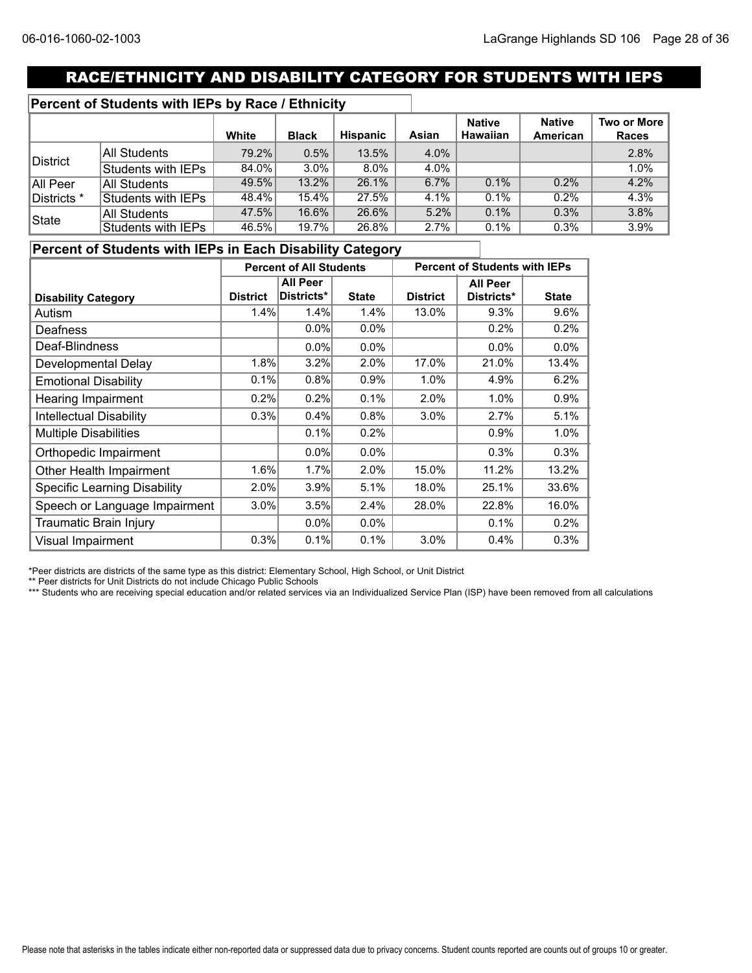### RACE/ETHNICITY AND DISABILITY CATEGORY FOR STUDENTS WITH IEPS

### **Percent of Students with IEPs by Race / Ethnicity**

|             |                     | White    | <b>Black</b> | Hispanic | Asian | <b>Native</b><br><b>Hawaiian</b> | <b>Native</b><br>American | Two or More<br><b>Races</b> |
|-------------|---------------------|----------|--------------|----------|-------|----------------------------------|---------------------------|-----------------------------|
|             | All Students        | 79.2%    | 0.5%         | 13.5%    | 4.0%  |                                  |                           | 2.8%                        |
| District    | Students with IEPs  | $84.0\%$ | $3.0\%$      | 8.0%     | 4.0%  |                                  |                           | 1.0%                        |
| All Peer    | <b>All Students</b> | 49.5%    | 13.2%        | 26.1%    | 6.7%  | 0.1%                             | 0.2%                      | 4.2%                        |
| Districts * | Students with IEPs  | 48.4%    | $15.4\%$     | 27.5%    | 4.1%  | $0.1\%$                          | 0.2%                      | 4.3%                        |
| State       | <b>All Students</b> | 47.5%    | 16.6%        | 26.6%    | 5.2%  | 0.1%                             | 0.3%                      | 3.8%                        |
|             | Students with IEPs  | 46.5%    | 19.7%        | 26.8%    | 2.7%  | 0.1%                             | 0.3%                      | 3.9%                        |

### **Percent of Students with IEPs in Each Disability Category**

|                                     | <b>Percent of All Students</b> |                 |              | <b>Percent of Students with IEPs</b> |                 |              |
|-------------------------------------|--------------------------------|-----------------|--------------|--------------------------------------|-----------------|--------------|
|                                     |                                | <b>All Peer</b> |              |                                      | <b>All Peer</b> |              |
| <b>Disability Category</b>          | <b>District</b>                | Districts*      | <b>State</b> | <b>District</b>                      | Districts*      | <b>State</b> |
| Autism                              | 1.4%                           | 1.4%            | 1.4%         | 13.0%                                | 9.3%            | 9.6%         |
| Deafness                            |                                | $0.0\%$         | 0.0%         |                                      | 0.2%            | 0.2%         |
| Deaf-Blindness                      |                                | $0.0\%$         | 0.0%         |                                      | $0.0\%$         | 0.0%         |
| Developmental Delay                 | 1.8%                           | 3.2%            | 2.0%         | 17.0%                                | 21.0%           | 13.4%        |
| <b>Emotional Disability</b>         | 0.1%                           | 0.8%            | 0.9%         | 1.0%                                 | 4.9%            | 6.2%         |
| Hearing Impairment                  | 0.2%                           | 0.2%            | 0.1%         | 2.0%                                 | 1.0%            | 0.9%         |
| <b>Intellectual Disability</b>      | 0.3%                           | 0.4%            | 0.8%         | 3.0%                                 | 2.7%            | 5.1%         |
| <b>Multiple Disabilities</b>        |                                | 0.1%            | 0.2%         |                                      | 0.9%            | 1.0%         |
| Orthopedic Impairment               |                                | $0.0\%$         | $0.0\%$      |                                      | 0.3%            | 0.3%         |
| Other Health Impairment             | 1.6%                           | 1.7%            | 2.0%         | 15.0%                                | 11.2%           | 13.2%        |
| <b>Specific Learning Disability</b> | 2.0%                           | 3.9%            | 5.1%         | 18.0%                                | 25.1%           | 33.6%        |
| Speech or Language Impairment       | 3.0%                           | 3.5%            | 2.4%         | 28.0%                                | 22.8%           | 16.0%        |
| Traumatic Brain Injury              |                                | $0.0\%$         | $0.0\%$      |                                      | 0.1%            | 0.2%         |
| <b>Visual Impairment</b>            | 0.3%                           | 0.1%            | 0.1%         | 3.0%                                 | 0.4%            | 0.3%         |

\*Peer districts are districts of the same type as this district: Elementary School, High School, or Unit District

\*\* Peer districts for Unit Districts do not include Chicago Public Schools

\*\*\* Students who are receiving special education and/or related services via an Individualized Service Plan (ISP) have been removed from all calculations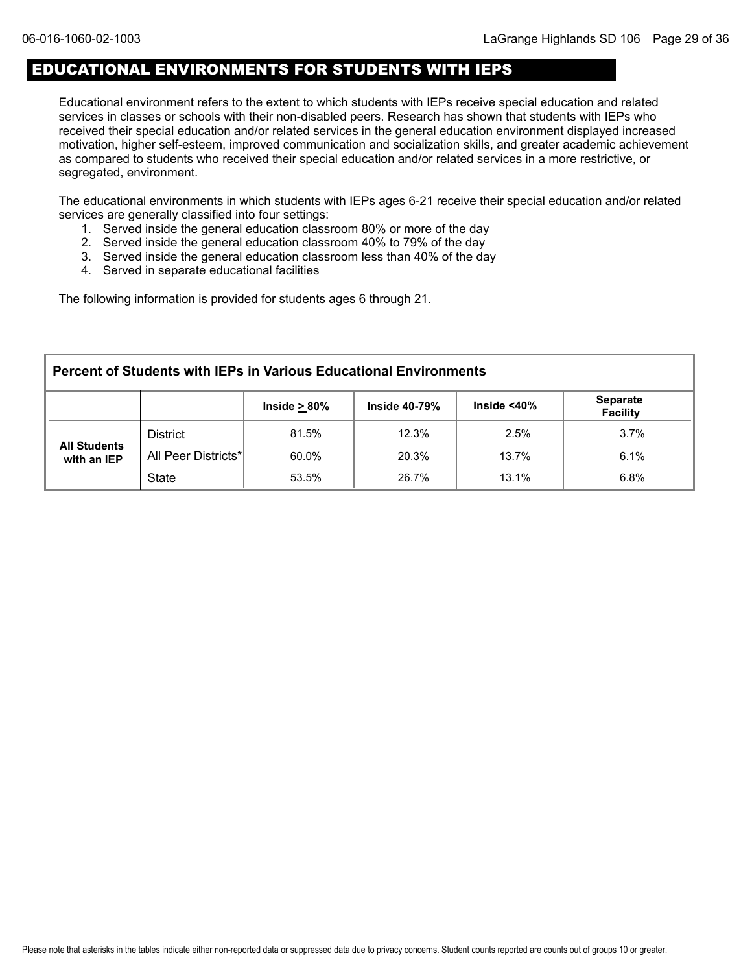### EDUCATIONAL ENVIRONMENTS FOR STUDENTS WITH IEPS

Educational environment refers to the extent to which students with IEPs receive special education and related services in classes or schools with their non-disabled peers. Research has shown that students with IEPs who received their special education and/or related services in the general education environment displayed increased motivation, higher self-esteem, improved communication and socialization skills, and greater academic achievement as compared to students who received their special education and/or related services in a more restrictive, or segregated, environment.

The educational environments in which students with IEPs ages 6-21 receive their special education and/or related services are generally classified into four settings:

- 1. Served inside the general education classroom 80% or more of the day
- 2. Served inside the general education classroom 40% to 79% of the day
- 3. Served inside the general education classroom less than 40% of the day
- 4. Served in separate educational facilities

The following information is provided for students ages 6 through 21.

| <b>Percent of Students with IEPs in Various Educational Environments</b>                               |                     |       |       |       |      |  |  |  |  |
|--------------------------------------------------------------------------------------------------------|---------------------|-------|-------|-------|------|--|--|--|--|
| <b>Separate</b><br>Inside $<$ 40 $\%$<br>Inside $\geq 80\%$<br><b>Inside 40-79%</b><br><b>Facility</b> |                     |       |       |       |      |  |  |  |  |
|                                                                                                        | <b>District</b>     | 81.5% | 12.3% | 2.5%  | 3.7% |  |  |  |  |
| <b>All Students</b><br>with an IEP                                                                     | All Peer Districts* | 60.0% | 20.3% | 13.7% | 6.1% |  |  |  |  |
|                                                                                                        | <b>State</b>        | 53.5% | 26.7% | 13.1% | 6.8% |  |  |  |  |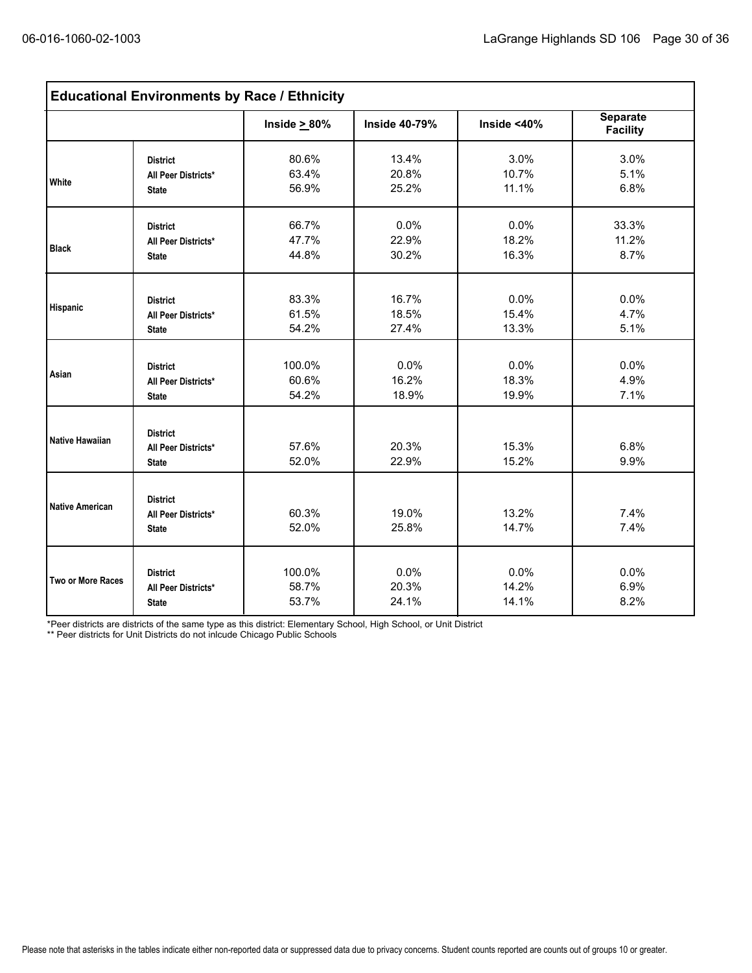| <b>Educational Environments by Race / Ethnicity</b> |                                                        |                    |                      |                |                                    |  |  |  |
|-----------------------------------------------------|--------------------------------------------------------|--------------------|----------------------|----------------|------------------------------------|--|--|--|
|                                                     |                                                        | Inside $\geq 80\%$ | <b>Inside 40-79%</b> | Inside $<$ 40% | <b>Separate</b><br><b>Facility</b> |  |  |  |
| <b>White</b>                                        | <b>District</b>                                        | 80.6%              | 13.4%                | 3.0%           | 3.0%                               |  |  |  |
|                                                     | All Peer Districts*                                    | 63.4%              | 20.8%                | 10.7%          | 5.1%                               |  |  |  |
|                                                     | <b>State</b>                                           | 56.9%              | 25.2%                | 11.1%          | 6.8%                               |  |  |  |
| <b>Black</b>                                        | <b>District</b>                                        | 66.7%              | 0.0%                 | 0.0%           | 33.3%                              |  |  |  |
|                                                     | All Peer Districts*                                    | 47.7%              | 22.9%                | 18.2%          | 11.2%                              |  |  |  |
|                                                     | <b>State</b>                                           | 44.8%              | 30.2%                | 16.3%          | 8.7%                               |  |  |  |
| <b>Hispanic</b>                                     | <b>District</b>                                        | 83.3%              | 16.7%                | 0.0%           | 0.0%                               |  |  |  |
|                                                     | All Peer Districts*                                    | 61.5%              | 18.5%                | 15.4%          | 4.7%                               |  |  |  |
|                                                     | <b>State</b>                                           | 54.2%              | 27.4%                | 13.3%          | 5.1%                               |  |  |  |
| Asian                                               | <b>District</b>                                        | 100.0%             | 0.0%                 | 0.0%           | 0.0%                               |  |  |  |
|                                                     | All Peer Districts*                                    | 60.6%              | 16.2%                | 18.3%          | 4.9%                               |  |  |  |
|                                                     | <b>State</b>                                           | 54.2%              | 18.9%                | 19.9%          | 7.1%                               |  |  |  |
| Native Hawaiian                                     | <b>District</b><br>All Peer Districts*<br><b>State</b> | 57.6%<br>52.0%     | 20.3%<br>22.9%       | 15.3%<br>15.2% | 6.8%<br>9.9%                       |  |  |  |
| <b>Native American</b>                              | <b>District</b><br>All Peer Districts*<br><b>State</b> | 60.3%<br>52.0%     | 19.0%<br>25.8%       | 13.2%<br>14.7% | 7.4%<br>7.4%                       |  |  |  |
| Two or More Races                                   | <b>District</b>                                        | 100.0%             | 0.0%                 | 0.0%           | 0.0%                               |  |  |  |
|                                                     | All Peer Districts*                                    | 58.7%              | 20.3%                | 14.2%          | 6.9%                               |  |  |  |
|                                                     | <b>State</b>                                           | 53.7%              | 24.1%                | 14.1%          | 8.2%                               |  |  |  |

\*Peer districts are districts of the same type as this district: Elementary School, High School, or Unit District

\*\* Peer districts for Unit Districts do not inlcude Chicago Public Schools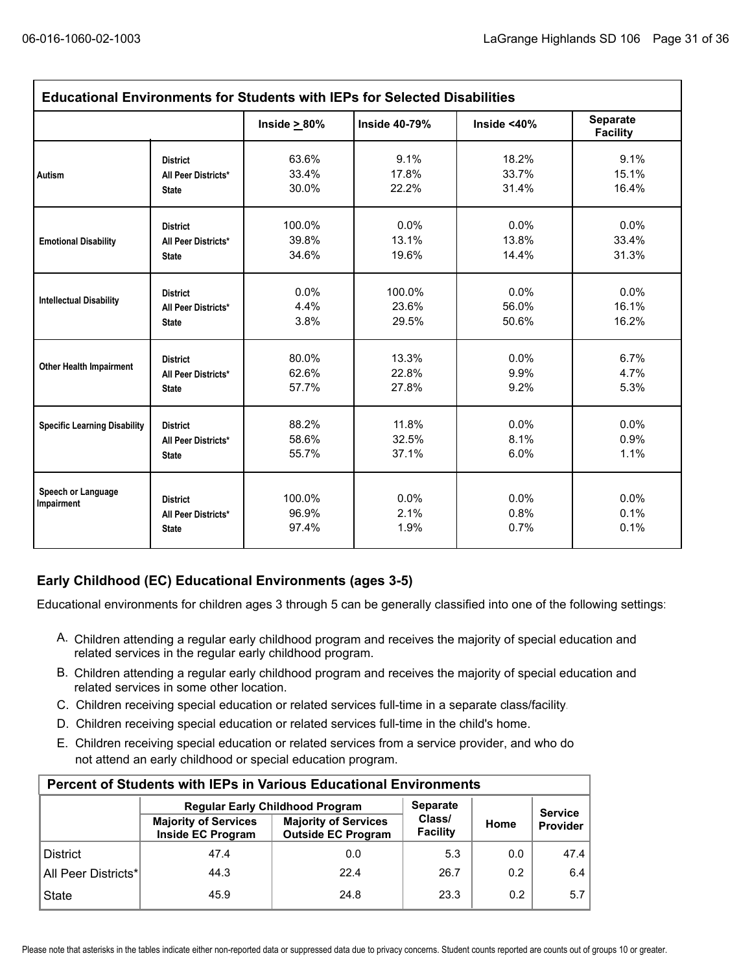|                                     |                                                        | Inside $\geq 80\%$       | <b>Inside 40-79%</b> | Inside $<$ 40%       | Separate<br><b>Facility</b> |
|-------------------------------------|--------------------------------------------------------|--------------------------|----------------------|----------------------|-----------------------------|
| Autism                              | <b>District</b>                                        | 63.6%                    | 9.1%                 | 18.2%                | 9.1%                        |
|                                     | All Peer Districts*                                    | 33.4%                    | 17.8%                | 33.7%                | 15.1%                       |
|                                     | <b>State</b>                                           | 30.0%                    | 22.2%                | 31.4%                | 16.4%                       |
|                                     | <b>District</b>                                        | 100.0%                   | 0.0%                 | 0.0%                 | $0.0\%$                     |
| <b>Emotional Disability</b>         | All Peer Districts*                                    | 39.8%                    | 13.1%                | 13.8%                | 33.4%                       |
|                                     | <b>State</b>                                           | 34.6%                    | 19.6%                | 14.4%                | 31.3%                       |
| <b>Intellectual Disability</b>      | <b>District</b>                                        | $0.0\%$                  | 100.0%               | 0.0%                 | 0.0%                        |
|                                     | All Peer Districts*                                    | 4.4%                     | 23.6%                | 56.0%                | 16.1%                       |
|                                     | <b>State</b>                                           | 3.8%                     | 29.5%                | 50.6%                | 16.2%                       |
| <b>Other Health Impairment</b>      | <b>District</b>                                        | 80.0%                    | 13.3%                | 0.0%                 | 6.7%                        |
|                                     | All Peer Districts*                                    | 62.6%                    | 22.8%                | 9.9%                 | 4.7%                        |
|                                     | <b>State</b>                                           | 57.7%                    | 27.8%                | 9.2%                 | 5.3%                        |
| <b>Specific Learning Disability</b> | <b>District</b>                                        | 88.2%                    | 11.8%                | 0.0%                 | 0.0%                        |
|                                     | All Peer Districts*                                    | 58.6%                    | 32.5%                | 8.1%                 | 0.9%                        |
|                                     | <b>State</b>                                           | 55.7%                    | 37.1%                | 6.0%                 | 1.1%                        |
| Speech or Language<br>Impairment    | <b>District</b><br>All Peer Districts*<br><b>State</b> | 100.0%<br>96.9%<br>97.4% | 0.0%<br>2.1%<br>1.9% | 0.0%<br>0.8%<br>0.7% | 0.0%<br>0.1%<br>0.1%        |

### **Early Childhood (EC) Educational Environments (ages 3-5)**

Educational environments for children ages 3 through 5 can be generally classified into one of the following settings:

- A. Children attending a regular early childhood program and receives the majority of special education and related services in the regular early childhood program.
- B. Children attending a regular early childhood program and receives the majority of special education and related services in some other location.
- C. Children receiving special education or related services full-time in a separate class/facility.
- D. Children receiving special education or related services full-time in the child's home.
- E. Children receiving special education or related services from a service provider, and who do not attend an early childhood or special education program.

| <b>Percent of Students with IEPs in Various Educational Environments</b> |                                                         |                                                          |                    |      |                |  |  |  |  |  |
|--------------------------------------------------------------------------|---------------------------------------------------------|----------------------------------------------------------|--------------------|------|----------------|--|--|--|--|--|
|                                                                          |                                                         | <b>Regular Early Childhood Program</b>                   | <b>Separate</b>    |      | <b>Service</b> |  |  |  |  |  |
|                                                                          | <b>Majority of Services</b><br><b>Inside EC Program</b> | <b>Majority of Services</b><br><b>Outside EC Program</b> | Class/<br>Facility | Home | Provider       |  |  |  |  |  |
| <b>District</b>                                                          | 47.4                                                    | 0.0                                                      | 5.3                | 0.0  | 47.4           |  |  |  |  |  |
| All Peer Districts*                                                      | 44.3                                                    | 22.4                                                     | 26.7               | 0.2  | 6.4            |  |  |  |  |  |
| <b>State</b>                                                             | 45.9                                                    | 24.8                                                     | 23.3               | 0.2  | 5.7            |  |  |  |  |  |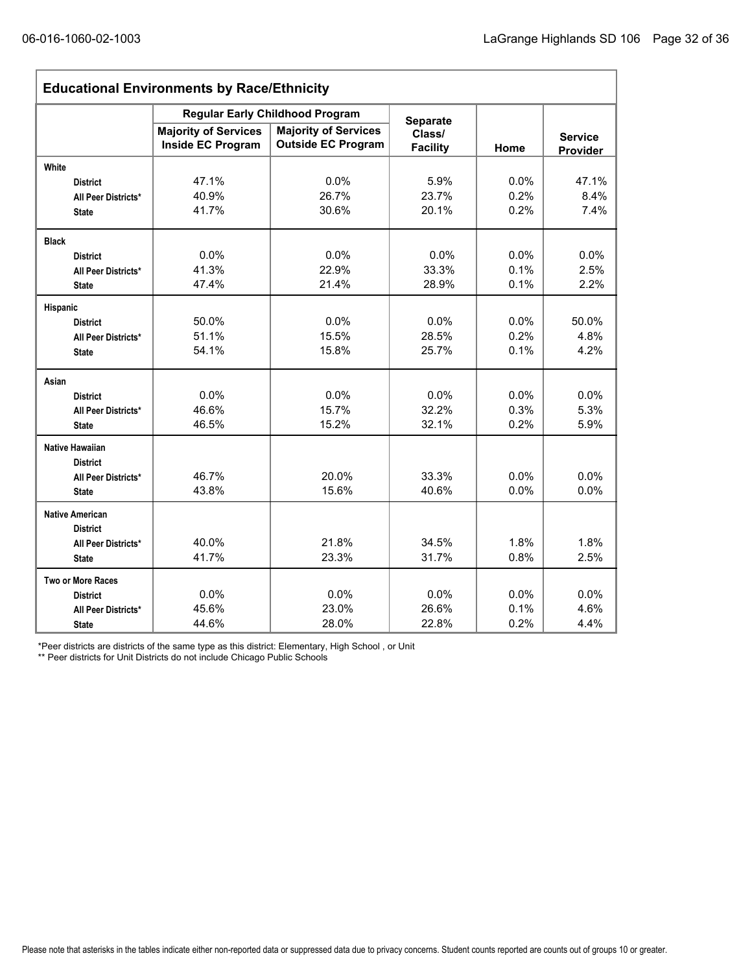| <b>Educational Environments by Race/Ethnicity</b> |                                                         |                                                          |                           |         |                            |  |  |  |
|---------------------------------------------------|---------------------------------------------------------|----------------------------------------------------------|---------------------------|---------|----------------------------|--|--|--|
|                                                   |                                                         | <b>Regular Early Childhood Program</b>                   | <b>Separate</b>           |         |                            |  |  |  |
|                                                   | <b>Majority of Services</b><br><b>Inside EC Program</b> | <b>Majority of Services</b><br><b>Outside EC Program</b> | Class/<br><b>Facility</b> | Home    | <b>Service</b><br>Provider |  |  |  |
| White                                             |                                                         |                                                          |                           |         |                            |  |  |  |
| <b>District</b>                                   | 47.1%                                                   | 0.0%                                                     | 5.9%                      | 0.0%    | 47.1%                      |  |  |  |
| All Peer Districts*                               | 40.9%                                                   | 26.7%                                                    | 23.7%                     | 0.2%    | 8.4%                       |  |  |  |
| <b>State</b>                                      | 41.7%                                                   | 30.6%                                                    | 20.1%                     | 0.2%    | 7.4%                       |  |  |  |
| <b>Black</b>                                      |                                                         |                                                          |                           |         |                            |  |  |  |
| <b>District</b>                                   | 0.0%                                                    | 0.0%                                                     | 0.0%                      | 0.0%    | 0.0%                       |  |  |  |
| All Peer Districts*                               | 41.3%                                                   | 22.9%                                                    | 33.3%                     | 0.1%    | 2.5%                       |  |  |  |
| <b>State</b>                                      | 47.4%                                                   | 21.4%                                                    | 28.9%                     | 0.1%    | 2.2%                       |  |  |  |
| Hispanic                                          |                                                         |                                                          |                           |         |                            |  |  |  |
| <b>District</b>                                   | 50.0%                                                   | 0.0%                                                     | 0.0%                      | $0.0\%$ | 50.0%                      |  |  |  |
| All Peer Districts*                               | 51.1%                                                   | 15.5%                                                    | 28.5%                     | 0.2%    | 4.8%                       |  |  |  |
| <b>State</b>                                      | 54.1%                                                   | 15.8%                                                    | 25.7%                     | 0.1%    | 4.2%                       |  |  |  |
| Asian                                             |                                                         |                                                          |                           |         |                            |  |  |  |
| <b>District</b>                                   | 0.0%                                                    | 0.0%                                                     | 0.0%                      | 0.0%    | 0.0%                       |  |  |  |
| All Peer Districts*                               | 46.6%                                                   | 15.7%                                                    | 32.2%                     | 0.3%    | 5.3%                       |  |  |  |
| <b>State</b>                                      | 46.5%                                                   | 15.2%                                                    | 32.1%                     | 0.2%    | 5.9%                       |  |  |  |
| <b>Native Hawaiian</b>                            |                                                         |                                                          |                           |         |                            |  |  |  |
| <b>District</b>                                   |                                                         |                                                          |                           |         |                            |  |  |  |
| All Peer Districts*                               | 46.7%                                                   | 20.0%                                                    | 33.3%                     | 0.0%    | 0.0%                       |  |  |  |
| <b>State</b>                                      | 43.8%                                                   | 15.6%                                                    | 40.6%                     | 0.0%    | 0.0%                       |  |  |  |
| <b>Native American</b>                            |                                                         |                                                          |                           |         |                            |  |  |  |
| <b>District</b>                                   |                                                         |                                                          |                           |         |                            |  |  |  |
| All Peer Districts*                               | 40.0%                                                   | 21.8%                                                    | 34.5%                     | 1.8%    | 1.8%                       |  |  |  |
| <b>State</b>                                      | 41.7%                                                   | 23.3%                                                    | 31.7%                     | 0.8%    | 2.5%                       |  |  |  |
| <b>Two or More Races</b>                          |                                                         |                                                          |                           |         |                            |  |  |  |
| <b>District</b>                                   | 0.0%                                                    | 0.0%                                                     | 0.0%                      | 0.0%    | 0.0%                       |  |  |  |
| All Peer Districts*                               | 45.6%                                                   | 23.0%                                                    | 26.6%                     | 0.1%    | 4.6%                       |  |  |  |
| <b>State</b>                                      | 44.6%                                                   | 28.0%                                                    | 22.8%                     | 0.2%    | 4.4%                       |  |  |  |

\*Peer districts are districts of the same type as this district: Elementary, High School , or Unit

\*\* Peer districts for Unit Districts do not include Chicago Public Schools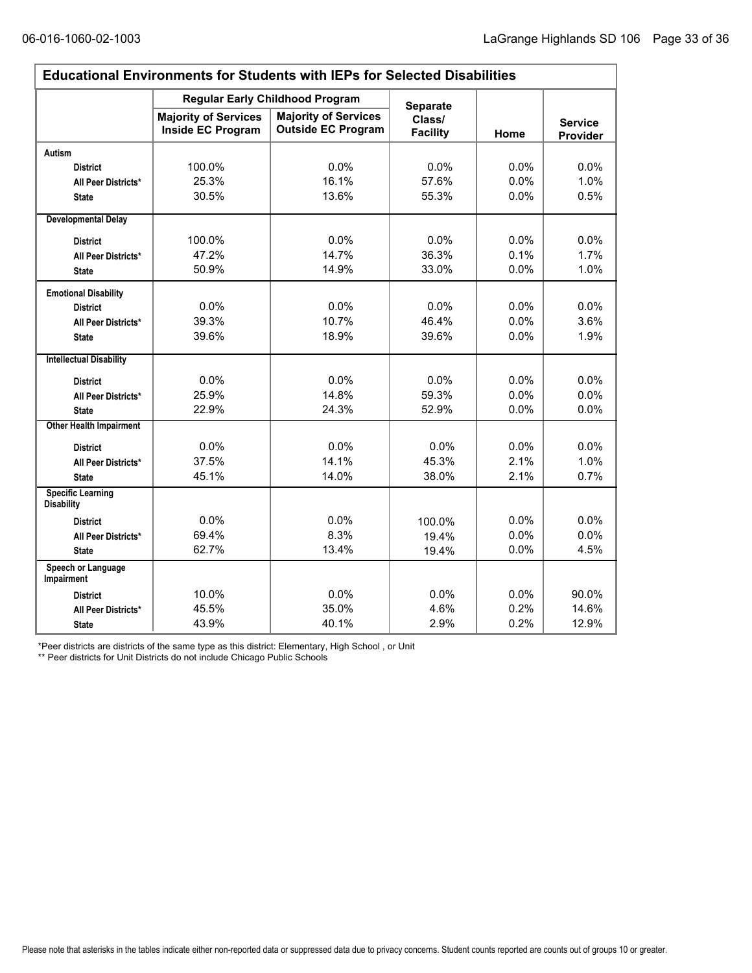$\Gamma$ 

| <b>Educational Environments for Students with IEPs for Selected Disabilities</b> |                                                  |                                                          |                           |         |                            |  |  |  |  |
|----------------------------------------------------------------------------------|--------------------------------------------------|----------------------------------------------------------|---------------------------|---------|----------------------------|--|--|--|--|
|                                                                                  |                                                  | <b>Regular Early Childhood Program</b>                   | <b>Separate</b>           |         |                            |  |  |  |  |
|                                                                                  | <b>Majority of Services</b><br>Inside EC Program | <b>Majority of Services</b><br><b>Outside EC Program</b> | Class/<br><b>Facility</b> | Home    | <b>Service</b><br>Provider |  |  |  |  |
| Autism                                                                           |                                                  |                                                          |                           |         |                            |  |  |  |  |
| <b>District</b>                                                                  | 100.0%                                           | 0.0%                                                     | 0.0%                      | 0.0%    | 0.0%                       |  |  |  |  |
| All Peer Districts*                                                              | 25.3%                                            | 16.1%                                                    | 57.6%                     | 0.0%    | 1.0%                       |  |  |  |  |
| <b>State</b>                                                                     | 30.5%                                            | 13.6%                                                    | 55.3%                     | $0.0\%$ | 0.5%                       |  |  |  |  |
| <b>Developmental Delay</b>                                                       |                                                  |                                                          |                           |         |                            |  |  |  |  |
| <b>District</b>                                                                  | 100.0%                                           | 0.0%                                                     | 0.0%                      | 0.0%    | $0.0\%$                    |  |  |  |  |
| All Peer Districts*                                                              | 47.2%                                            | 14.7%                                                    | 36.3%                     | 0.1%    | 1.7%                       |  |  |  |  |
| <b>State</b>                                                                     | 50.9%                                            | 14.9%                                                    | 33.0%                     | 0.0%    | 1.0%                       |  |  |  |  |
| <b>Emotional Disability</b>                                                      |                                                  |                                                          |                           |         |                            |  |  |  |  |
| <b>District</b>                                                                  | 0.0%                                             | 0.0%                                                     | 0.0%                      | 0.0%    | 0.0%                       |  |  |  |  |
| All Peer Districts*                                                              | 39.3%                                            | 10.7%                                                    | 46.4%                     | 0.0%    | 3.6%                       |  |  |  |  |
| <b>State</b>                                                                     | 39.6%                                            | 18.9%                                                    | 39.6%                     | 0.0%    | 1.9%                       |  |  |  |  |
| <b>Intellectual Disability</b>                                                   |                                                  |                                                          |                           |         |                            |  |  |  |  |
| <b>District</b>                                                                  | 0.0%                                             | 0.0%                                                     | 0.0%                      | 0.0%    | 0.0%                       |  |  |  |  |
| All Peer Districts*                                                              | 25.9%                                            | 14.8%                                                    | 59.3%                     | 0.0%    | 0.0%                       |  |  |  |  |
| <b>State</b>                                                                     | 22.9%                                            | 24.3%                                                    | 52.9%                     | 0.0%    | 0.0%                       |  |  |  |  |
| <b>Other Health Impairment</b>                                                   |                                                  |                                                          |                           |         |                            |  |  |  |  |
| <b>District</b>                                                                  | 0.0%                                             | 0.0%                                                     | 0.0%                      | 0.0%    | $0.0\%$                    |  |  |  |  |
| All Peer Districts*                                                              | 37.5%                                            | 14.1%                                                    | 45.3%                     | 2.1%    | 1.0%                       |  |  |  |  |
| <b>State</b>                                                                     | 45.1%                                            | 14.0%                                                    | 38.0%                     | 2.1%    | 0.7%                       |  |  |  |  |
| <b>Specific Learning</b><br><b>Disability</b>                                    |                                                  |                                                          |                           |         |                            |  |  |  |  |
| <b>District</b>                                                                  | 0.0%                                             | 0.0%                                                     | 100.0%                    | 0.0%    | 0.0%                       |  |  |  |  |
| All Peer Districts*                                                              | 69.4%                                            | 8.3%                                                     | 19.4%                     | 0.0%    | 0.0%                       |  |  |  |  |
| <b>State</b>                                                                     | 62.7%                                            | 13.4%                                                    | 19.4%                     | 0.0%    | 4.5%                       |  |  |  |  |
| Speech or Language<br>Impairment                                                 |                                                  |                                                          |                           |         |                            |  |  |  |  |
| <b>District</b>                                                                  | 10.0%                                            | 0.0%                                                     | 0.0%                      | 0.0%    | 90.0%                      |  |  |  |  |
| All Peer Districts*                                                              | 45.5%                                            | 35.0%                                                    | 4.6%                      | 0.2%    | 14.6%                      |  |  |  |  |
| <b>State</b>                                                                     | 43.9%                                            | 40.1%                                                    | 2.9%                      | 0.2%    | 12.9%                      |  |  |  |  |

\*Peer districts are districts of the same type as this district: Elementary, High School , or Unit

\*\* Peer districts for Unit Districts do not include Chicago Public Schools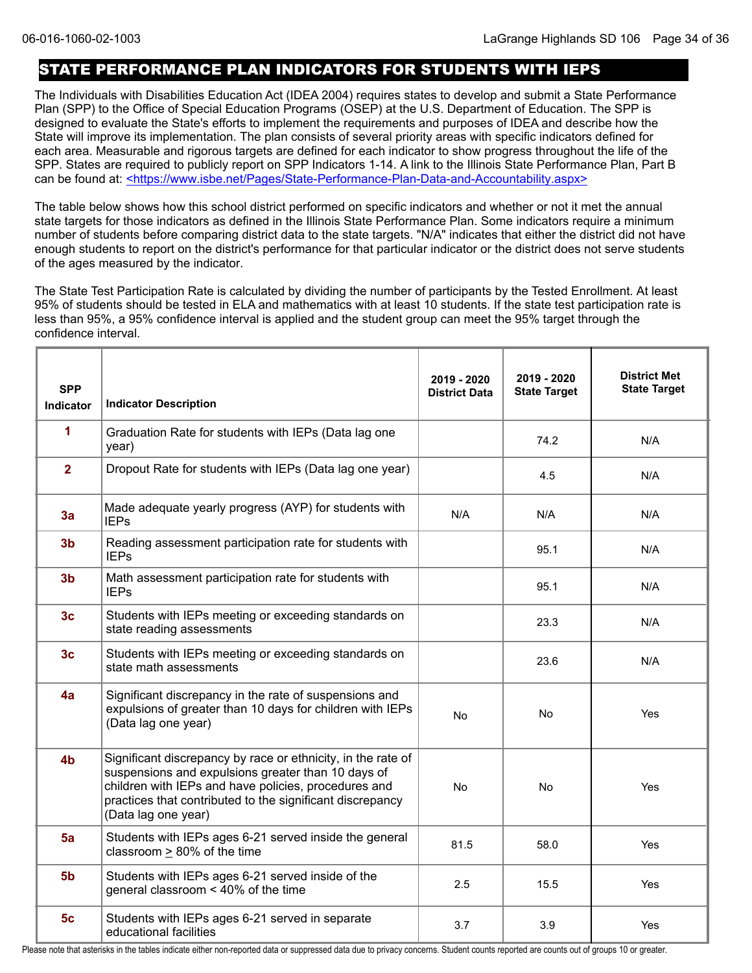### STATE PERFORMANCE PLAN INDICATORS FOR STUDENTS WITH IEPS

The Individuals with Disabilities Education Act (IDEA 2004) requires states to develop and submit a State Performance Plan (SPP) to the Office of Special Education Programs (OSEP) at the U.S. Department of Education. The SPP is designed to evaluate the State's efforts to implement the requirements and purposes of IDEA and describe how the State will improve its implementation. The plan consists of several priority areas with specific indicators defined for each area. Measurable and rigorous targets are defined for each indicator to show progress throughout the life of the SPP. States are required to publicly report on SPP Indicators 1-14. A link to the Illinois State Performance Plan, Part B can be found at: <https://www.isbe.net/Pages/State-Performance-Plan-Data-and-Accountability.aspx>

The table below shows how this school district performed on specific indicators and whether or not it met the annual state targets for those indicators as defined in the Illinois State Performance Plan. Some indicators require a minimum number of students before comparing district data to the state targets. "N/A" indicates that either the district did not have enough students to report on the district's performance for that particular indicator or the district does not serve students of the ages measured by the indicator.

The State Test Participation Rate is calculated by dividing the number of participants by the Tested Enrollment. At least 95% of students should be tested in ELA and mathematics with at least 10 students. If the state test participation rate is less than 95%, a 95% confidence interval is applied and the student group can meet the 95% target through the confidence interval.

| <b>SPP</b><br><b>Indicator</b> | <b>Indicator Description</b>                                                                                                                                                                                                                                   | 2019 - 2020<br><b>District Data</b> | 2019 - 2020<br><b>State Target</b> | <b>District Met</b><br><b>State Target</b> |
|--------------------------------|----------------------------------------------------------------------------------------------------------------------------------------------------------------------------------------------------------------------------------------------------------------|-------------------------------------|------------------------------------|--------------------------------------------|
| 1                              | Graduation Rate for students with IEPs (Data lag one<br>year)                                                                                                                                                                                                  |                                     | 74.2                               | N/A                                        |
| $\overline{2}$                 | Dropout Rate for students with IEPs (Data lag one year)                                                                                                                                                                                                        |                                     | 4.5                                | N/A                                        |
| 3a                             | Made adequate yearly progress (AYP) for students with<br><b>IEPs</b>                                                                                                                                                                                           | N/A                                 | N/A                                | N/A                                        |
| 3 <sub>b</sub>                 | Reading assessment participation rate for students with<br><b>IEPs</b>                                                                                                                                                                                         |                                     | 95.1                               | N/A                                        |
| 3 <sub>b</sub>                 | Math assessment participation rate for students with<br><b>IEPs</b>                                                                                                                                                                                            |                                     | 95.1                               | N/A                                        |
| 3 <sub>c</sub>                 | Students with IEPs meeting or exceeding standards on<br>state reading assessments                                                                                                                                                                              |                                     | 23.3                               | N/A                                        |
| 3 <sub>c</sub>                 | Students with IEPs meeting or exceeding standards on<br>state math assessments                                                                                                                                                                                 |                                     | 23.6                               | N/A                                        |
| 4a                             | Significant discrepancy in the rate of suspensions and<br>expulsions of greater than 10 days for children with IEPs<br>(Data lag one year)                                                                                                                     | <b>No</b>                           | No.                                | Yes                                        |
| 4 <sub>b</sub>                 | Significant discrepancy by race or ethnicity, in the rate of<br>suspensions and expulsions greater than 10 days of<br>children with IEPs and have policies, procedures and<br>practices that contributed to the significant discrepancy<br>(Data lag one year) | <b>No</b>                           | <b>No</b>                          | Yes                                        |
| 5a                             | Students with IEPs ages 6-21 served inside the general<br>classroom > 80% of the time                                                                                                                                                                          | 81.5                                | 58.0                               | Yes                                        |
| 5 <sub>b</sub>                 | Students with IEPs ages 6-21 served inside of the<br>general classroom < 40% of the time                                                                                                                                                                       | 2.5                                 | 15.5                               | Yes                                        |
| 5 <sub>c</sub>                 | Students with IEPs ages 6-21 served in separate<br>educational facilities                                                                                                                                                                                      | 3.7                                 | 3.9                                | Yes                                        |

Please note that asterisks in the tables indicate either non-reported data or suppressed data due to privacy concerns. Student counts reported are counts out of groups 10 or greater.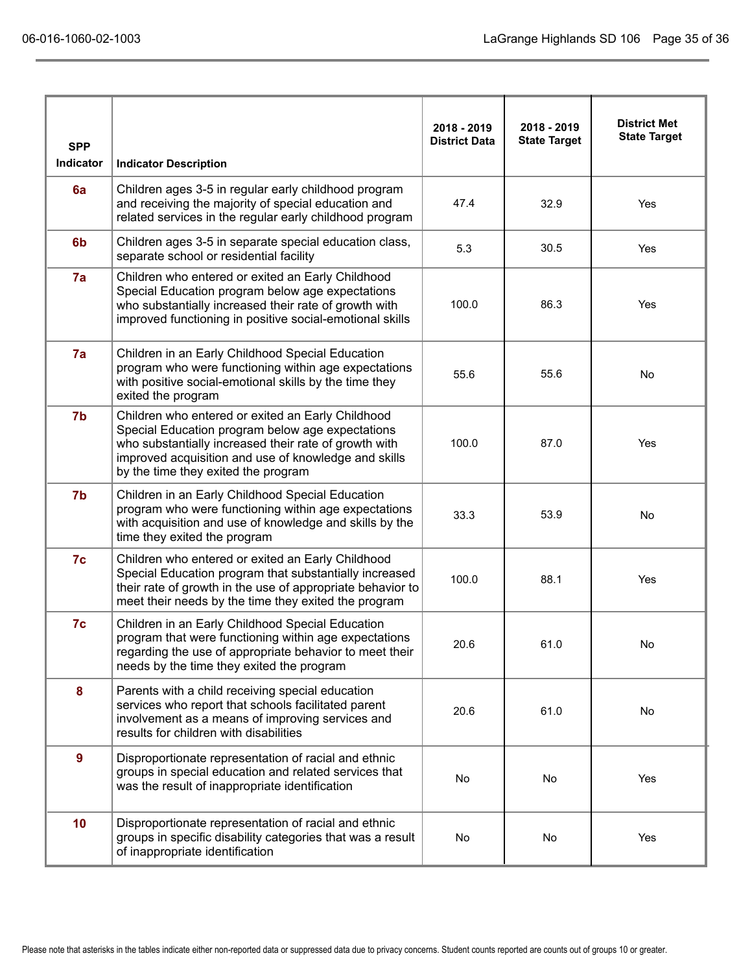|                  |                                                                                                                                                                                                                                                               | 2018 - 2019          | 2018 - 2019         | <b>District Met</b> |
|------------------|---------------------------------------------------------------------------------------------------------------------------------------------------------------------------------------------------------------------------------------------------------------|----------------------|---------------------|---------------------|
| <b>SPP</b>       |                                                                                                                                                                                                                                                               | <b>District Data</b> | <b>State Target</b> | <b>State Target</b> |
| <b>Indicator</b> | <b>Indicator Description</b>                                                                                                                                                                                                                                  |                      |                     |                     |
| 6a               | Children ages 3-5 in regular early childhood program<br>and receiving the majority of special education and<br>related services in the regular early childhood program                                                                                        | 47.4                 | 32.9                | Yes                 |
| 6 <sub>b</sub>   | Children ages 3-5 in separate special education class,<br>separate school or residential facility                                                                                                                                                             | 5.3                  | 30.5                | Yes                 |
| 7a               | Children who entered or exited an Early Childhood<br>Special Education program below age expectations<br>who substantially increased their rate of growth with<br>improved functioning in positive social-emotional skills                                    | 100.0                | 86.3                | Yes                 |
| 7a               | Children in an Early Childhood Special Education<br>program who were functioning within age expectations<br>with positive social-emotional skills by the time they<br>exited the program                                                                      | 55.6                 | 55.6                | No                  |
| 7b               | Children who entered or exited an Early Childhood<br>Special Education program below age expectations<br>who substantially increased their rate of growth with<br>improved acquisition and use of knowledge and skills<br>by the time they exited the program | 100.0                | 87.0                | Yes                 |
| 7b               | Children in an Early Childhood Special Education<br>program who were functioning within age expectations<br>with acquisition and use of knowledge and skills by the<br>time they exited the program                                                           | 33.3                 | 53.9                | <b>No</b>           |
| 7c               | Children who entered or exited an Early Childhood<br>Special Education program that substantially increased<br>their rate of growth in the use of appropriate behavior to<br>meet their needs by the time they exited the program                             | 100.0                | 88.1                | Yes                 |
| 7c               | Children in an Early Childhood Special Education<br>program that were functioning within age expectations<br>regarding the use of appropriate behavior to meet their<br>needs by the time they exited the program                                             | 20.6                 | 61.0                | No                  |
| 8                | Parents with a child receiving special education<br>services who report that schools facilitated parent<br>involvement as a means of improving services and<br>results for children with disabilities                                                         | 20.6                 | 61.0                | No                  |
| 9                | Disproportionate representation of racial and ethnic<br>groups in special education and related services that<br>was the result of inappropriate identification                                                                                               | No                   | No                  | Yes                 |
| 10               | Disproportionate representation of racial and ethnic<br>groups in specific disability categories that was a result<br>of inappropriate identification                                                                                                         | No                   | No                  | Yes                 |